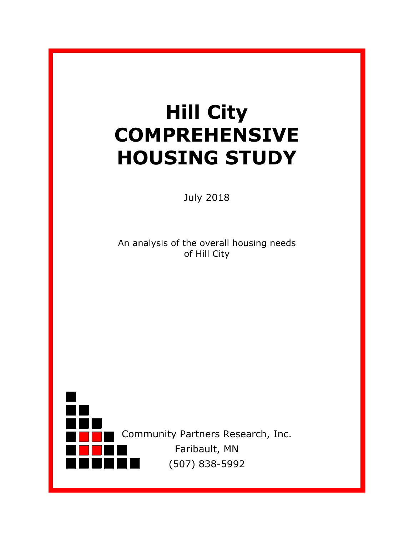# **Hill City COMPREHENSIVE HOUSING STUDY**

July 2018

An analysis of the overall housing needs of Hill City

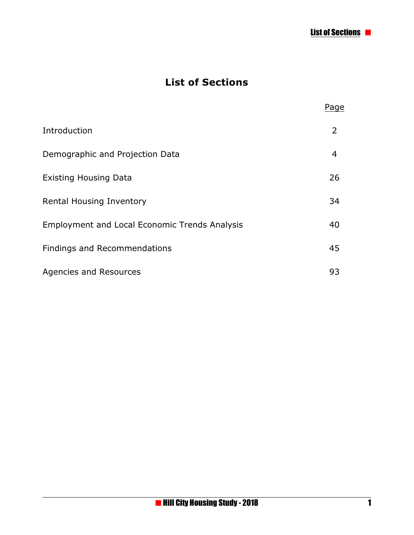### **List of Sections**

|                                                      | Page |
|------------------------------------------------------|------|
| Introduction                                         | 2    |
| Demographic and Projection Data                      | 4    |
| <b>Existing Housing Data</b>                         | 26   |
| <b>Rental Housing Inventory</b>                      | 34   |
| <b>Employment and Local Economic Trends Analysis</b> | 40   |
| Findings and Recommendations                         | 45   |
| Agencies and Resources                               | 93   |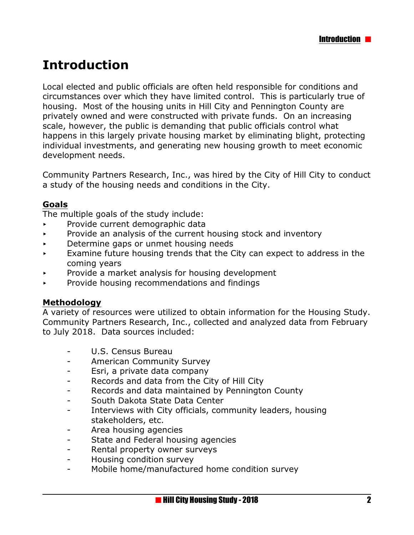# **Introduction**

Local elected and public officials are often held responsible for conditions and circumstances over which they have limited control. This is particularly true of housing. Most of the housing units in Hill City and Pennington County are privately owned and were constructed with private funds. On an increasing scale, however, the public is demanding that public officials control what happens in this largely private housing market by eliminating blight, protecting individual investments, and generating new housing growth to meet economic development needs.

Community Partners Research, Inc., was hired by the City of Hill City to conduct a study of the housing needs and conditions in the City.

#### **Goals**

The multiple goals of the study include:

- < Provide current demographic data
- $\triangleright$  Provide an analysis of the current housing stock and inventory
- $\triangleright$  Determine gaps or unmet housing needs
- $\overline{\phantom{a}}$  Examine future housing trends that the City can expect to address in the coming years
- Provide a market analysis for housing development
- $\triangleright$  Provide housing recommendations and findings

#### **Methodology**

A variety of resources were utilized to obtain information for the Housing Study. Community Partners Research, Inc., collected and analyzed data from February to July 2018. Data sources included:

- U.S. Census Bureau
- American Community Survey
- Esri, a private data company
- Records and data from the City of Hill City
- Records and data maintained by Pennington County
- South Dakota State Data Center
- Interviews with City officials, community leaders, housing stakeholders, etc.
- Area housing agencies
- State and Federal housing agencies
- Rental property owner surveys
- Housing condition survey
- Mobile home/manufactured home condition survey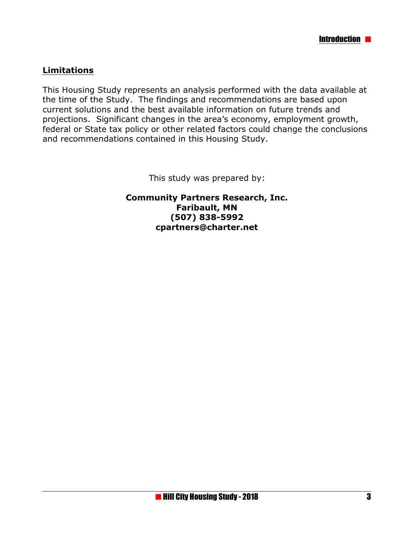#### **Limitations**

This Housing Study represents an analysis performed with the data available at the time of the Study. The findings and recommendations are based upon current solutions and the best available information on future trends and projections. Significant changes in the area's economy, employment growth, federal or State tax policy or other related factors could change the conclusions and recommendations contained in this Housing Study.

This study was prepared by:

**Community Partners Research, Inc. Faribault, MN (507) 838-5992 cpartners@charter.net**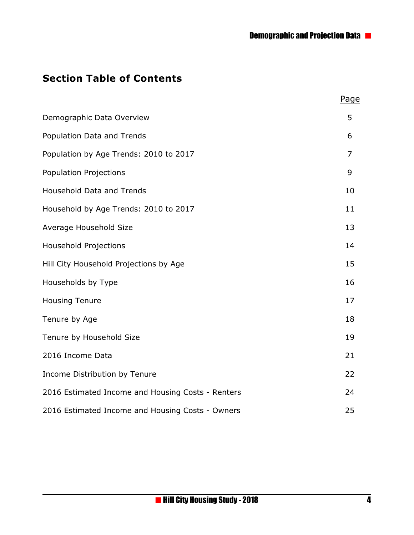#### **Section Table of Contents**

|                                                   | Page |
|---------------------------------------------------|------|
| Demographic Data Overview                         | 5    |
| Population Data and Trends                        | 6    |
| Population by Age Trends: 2010 to 2017            | 7    |
| <b>Population Projections</b>                     | 9    |
| <b>Household Data and Trends</b>                  | 10   |
| Household by Age Trends: 2010 to 2017             | 11   |
| Average Household Size                            | 13   |
| <b>Household Projections</b>                      | 14   |
| Hill City Household Projections by Age            | 15   |
| Households by Type                                | 16   |
| <b>Housing Tenure</b>                             | 17   |
| Tenure by Age                                     | 18   |
| Tenure by Household Size                          | 19   |
| 2016 Income Data                                  | 21   |
| Income Distribution by Tenure                     | 22   |
| 2016 Estimated Income and Housing Costs - Renters | 24   |
| 2016 Estimated Income and Housing Costs - Owners  | 25   |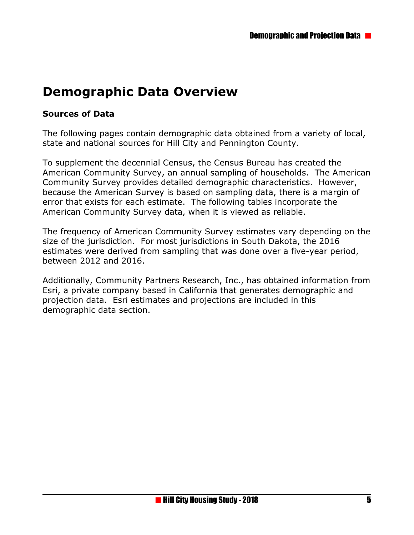## **Demographic Data Overview**

#### **Sources of Data**

The following pages contain demographic data obtained from a variety of local, state and national sources for Hill City and Pennington County.

To supplement the decennial Census, the Census Bureau has created the American Community Survey, an annual sampling of households. The American Community Survey provides detailed demographic characteristics. However, because the American Survey is based on sampling data, there is a margin of error that exists for each estimate. The following tables incorporate the American Community Survey data, when it is viewed as reliable.

The frequency of American Community Survey estimates vary depending on the size of the jurisdiction. For most jurisdictions in South Dakota, the 2016 estimates were derived from sampling that was done over a five-year period, between 2012 and 2016.

Additionally, Community Partners Research, Inc., has obtained information from Esri, a private company based in California that generates demographic and projection data. Esri estimates and projections are included in this demographic data section.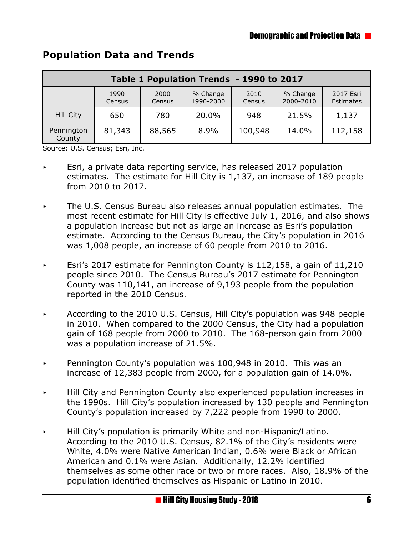| Table 1 Population Trends - 1990 to 2017 |                |                |                       |                |                       |                        |
|------------------------------------------|----------------|----------------|-----------------------|----------------|-----------------------|------------------------|
|                                          | 1990<br>Census | 2000<br>Census | % Change<br>1990-2000 | 2010<br>Census | % Change<br>2000-2010 | 2017 Esri<br>Estimates |
| Hill City                                | 650            | 780            | 20.0%                 | 948            | 21.5%                 | 1,137                  |
| Pennington<br>County                     | 81,343         | 88,565         | 8.9%                  | 100,948        | 14.0%                 | 112,158                |

#### **Population Data and Trends**

Source: U.S. Census; Esri, Inc.

- Esri, a private data reporting service, has released 2017 population estimates. The estimate for Hill City is 1,137, an increase of 189 people from 2010 to 2017.
- < The U.S. Census Bureau also releases annual population estimates. The most recent estimate for Hill City is effective July 1, 2016, and also shows a population increase but not as large an increase as Esri's population estimate. According to the Census Bureau, the City's population in 2016 was 1,008 people, an increase of 60 people from 2010 to 2016.
- Esri's 2017 estimate for Pennington County is 112,158, a gain of 11,210 people since 2010. The Census Bureau's 2017 estimate for Pennington County was 110,141, an increase of 9,193 people from the population reported in the 2010 Census.
- < According to the 2010 U.S. Census, Hill City's population was 948 people in 2010. When compared to the 2000 Census, the City had a population gain of 168 people from 2000 to 2010. The 168-person gain from 2000 was a population increase of 21.5%.
- Pennington County's population was 100,948 in 2010. This was an increase of 12,383 people from 2000, for a population gain of 14.0%.
- $\rightarrow$  Hill City and Pennington County also experienced population increases in the 1990s. Hill City's population increased by 130 people and Pennington County's population increased by 7,222 people from 1990 to 2000.
- < Hill City's population is primarily White and non-Hispanic/Latino. According to the 2010 U.S. Census, 82.1% of the City's residents were White, 4.0% were Native American Indian, 0.6% were Black or African American and 0.1% were Asian. Additionally, 12.2% identified themselves as some other race or two or more races. Also, 18.9% of the population identified themselves as Hispanic or Latino in 2010.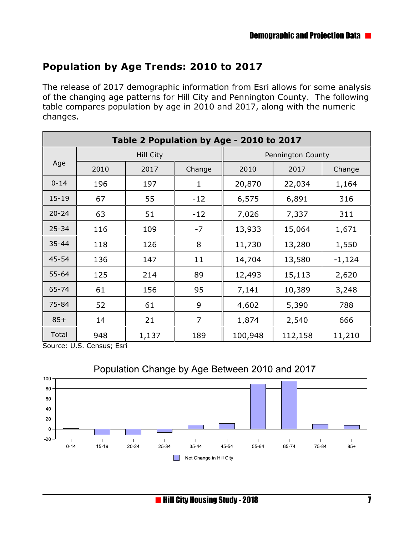#### **Population by Age Trends: 2010 to 2017**

The release of 2017 demographic information from Esri allows for some analysis of the changing age patterns for Hill City and Pennington County. The following table compares population by age in 2010 and 2017, along with the numeric changes.

| Table 2 Population by Age - 2010 to 2017 |           |       |                |         |         |                   |  |
|------------------------------------------|-----------|-------|----------------|---------|---------|-------------------|--|
|                                          | Hill City |       |                |         |         | Pennington County |  |
| Age                                      | 2010      | 2017  | Change         | 2010    | 2017    | Change            |  |
| $0 - 14$                                 | 196       | 197   | 1              | 20,870  | 22,034  | 1,164             |  |
| $15 - 19$                                | 67        | 55    | $-12$          | 6,575   | 6,891   | 316               |  |
| $20 - 24$                                | 63        | 51    | $-12$          | 7,026   | 7,337   | 311               |  |
| $25 - 34$                                | 116       | 109   | $-7$           | 13,933  | 15,064  | 1,671             |  |
| $35 - 44$                                | 118       | 126   | 8              | 11,730  | 13,280  | 1,550             |  |
| 45-54                                    | 136       | 147   | 11             | 14,704  | 13,580  | $-1,124$          |  |
| $55 - 64$                                | 125       | 214   | 89             | 12,493  | 15,113  | 2,620             |  |
| 65-74                                    | 61        | 156   | 95             | 7,141   | 10,389  | 3,248             |  |
| 75-84                                    | 52        | 61    | 9              | 4,602   | 5,390   | 788               |  |
| $85+$                                    | 14        | 21    | $\overline{7}$ | 1,874   | 2,540   | 666               |  |
| Total                                    | 948       | 1,137 | 189            | 100,948 | 112,158 | 11,210            |  |

Source: U.S. Census; Esri



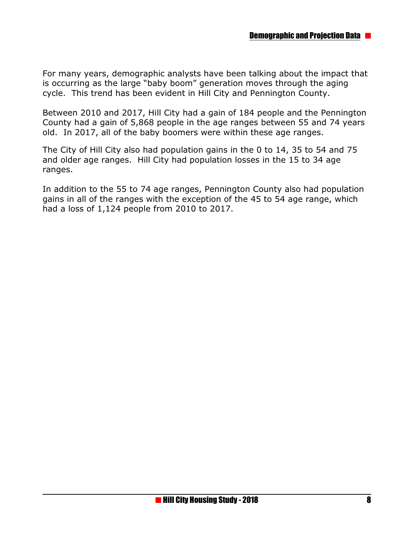For many years, demographic analysts have been talking about the impact that is occurring as the large "baby boom" generation moves through the aging cycle. This trend has been evident in Hill City and Pennington County.

Between 2010 and 2017, Hill City had a gain of 184 people and the Pennington County had a gain of 5,868 people in the age ranges between 55 and 74 years old. In 2017, all of the baby boomers were within these age ranges.

The City of Hill City also had population gains in the 0 to 14, 35 to 54 and 75 and older age ranges. Hill City had population losses in the 15 to 34 age ranges.

In addition to the 55 to 74 age ranges, Pennington County also had population gains in all of the ranges with the exception of the 45 to 54 age range, which had a loss of 1,124 people from 2010 to 2017.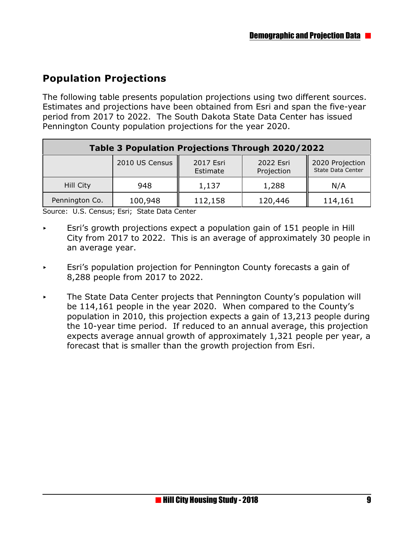## **Population Projections**

The following table presents population projections using two different sources. Estimates and projections have been obtained from Esri and span the five-year period from 2017 to 2022. The South Dakota State Data Center has issued Pennington County population projections for the year 2020.

| Table 3 Population Projections Through 2020/2022 |                |                       |                         |                                      |  |
|--------------------------------------------------|----------------|-----------------------|-------------------------|--------------------------------------|--|
|                                                  | 2010 US Census | 2017 Esri<br>Estimate | 2022 Esri<br>Projection | 2020 Projection<br>State Data Center |  |
| Hill City                                        | 948            | 1,137                 | 1,288                   | N/A                                  |  |
| Pennington Co.                                   | 100,948        | 112,158               | 120,446                 | 114,161                              |  |

Source: U.S. Census; Esri; State Data Center

- Esri's growth projections expect a population gain of 151 people in Hill City from 2017 to 2022. This is an average of approximately 30 people in an average year.
- Esri's population projection for Pennington County forecasts a gain of 8,288 people from 2017 to 2022.
- $\triangleright$  The State Data Center projects that Pennington County's population will be 114,161 people in the year 2020. When compared to the County's population in 2010, this projection expects a gain of 13,213 people during the 10-year time period. If reduced to an annual average, this projection expects average annual growth of approximately 1,321 people per year, a forecast that is smaller than the growth projection from Esri.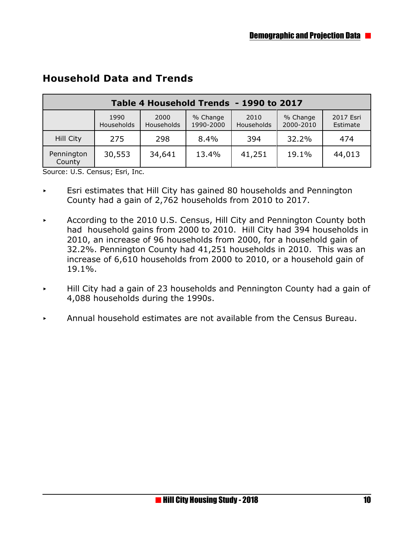| Table 4 Household Trends - 1990 to 2017 |                    |                    |                       |                    |                       |                       |
|-----------------------------------------|--------------------|--------------------|-----------------------|--------------------|-----------------------|-----------------------|
|                                         | 1990<br>Households | 2000<br>Households | % Change<br>1990-2000 | 2010<br>Households | % Change<br>2000-2010 | 2017 Esri<br>Estimate |
| Hill City                               | 275                | 298                | 8.4%                  | 394                | 32.2%                 | 474                   |
| Pennington<br>County                    | 30,553             | 34,641             | 13.4%                 | 41,251             | 19.1%                 | 44,013                |

#### **Household Data and Trends**

Source: U.S. Census; Esri, Inc.

- $\triangleright$  Esri estimates that Hill City has gained 80 households and Pennington County had a gain of 2,762 households from 2010 to 2017.
- $\sim$  According to the 2010 U.S. Census, Hill City and Pennington County both had household gains from 2000 to 2010. Hill City had 394 households in 2010, an increase of 96 households from 2000, for a household gain of 32.2%. Pennington County had 41,251 households in 2010. This was an increase of 6,610 households from 2000 to 2010, or a household gain of 19.1%.
- < Hill City had a gain of 23 households and Pennington County had a gain of 4,088 households during the 1990s.
- $\blacktriangleright$  Annual household estimates are not available from the Census Bureau.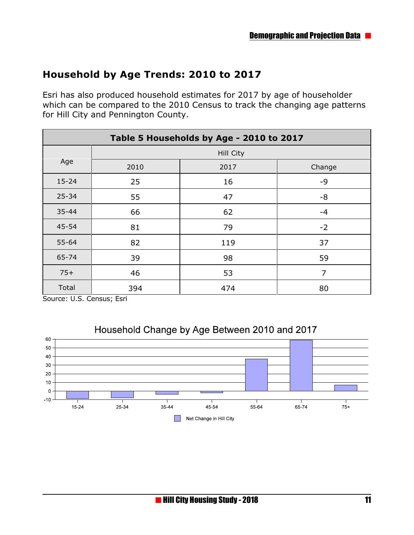#### **Household by Age Trends: 2010 to 2017**

Esri has also produced household estimates for 2017 by age of householder which can be compared to the 2010 Census to track the changing age patterns for Hill City and Pennington County.

| Table 5 Households by Age - 2010 to 2017 |      |                  |        |  |  |  |
|------------------------------------------|------|------------------|--------|--|--|--|
|                                          |      | <b>Hill City</b> |        |  |  |  |
| Age                                      | 2010 | 2017             | Change |  |  |  |
| $15 - 24$                                | 25   | 16               | -9     |  |  |  |
| 25-34                                    | 55   | 47               | $-8$   |  |  |  |
| $35 - 44$                                | 66   | 62               | $-4$   |  |  |  |
| 45-54                                    | 81   | 79               | $-2$   |  |  |  |
| $55 - 64$                                | 82   | 119              | 37     |  |  |  |
| 65-74                                    | 39   | 98               | 59     |  |  |  |
| $75+$                                    | 46   | 53               | 7      |  |  |  |
| Total                                    | 394  | 474              | 80     |  |  |  |

Source: U.S. Census; Esri



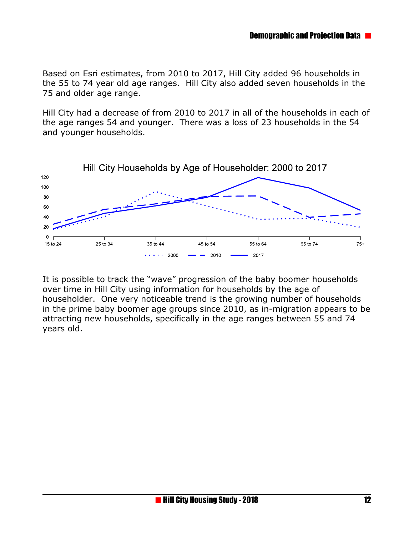Based on Esri estimates, from 2010 to 2017, Hill City added 96 households in the 55 to 74 year old age ranges. Hill City also added seven households in the 75 and older age range.

Hill City had a decrease of from 2010 to 2017 in all of the households in each of the age ranges 54 and younger. There was a loss of 23 households in the 54 and younger households.



It is possible to track the "wave" progression of the baby boomer households over time in Hill City using information for households by the age of householder. One very noticeable trend is the growing number of households in the prime baby boomer age groups since 2010, as in-migration appears to be attracting new households, specifically in the age ranges between 55 and 74 years old.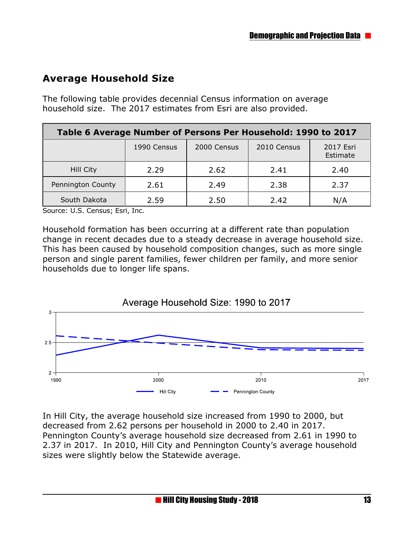### **Average Household Size**

The following table provides decennial Census information on average household size. The 2017 estimates from Esri are also provided.

| Table 6 Average Number of Persons Per Household: 1990 to 2017 |             |             |             |                       |  |
|---------------------------------------------------------------|-------------|-------------|-------------|-----------------------|--|
|                                                               | 1990 Census | 2000 Census | 2010 Census | 2017 Esri<br>Estimate |  |
| Hill City                                                     | 2.29        | 2.62        | 2.41        | 2.40                  |  |
| Pennington County                                             | 2.61        | 2.49        | 2.38        | 2.37                  |  |
| South Dakota                                                  | 2.59        | 2.50        | 2.42        | N/A                   |  |

Source: U.S. Census; Esri, Inc.

Household formation has been occurring at a different rate than population change in recent decades due to a steady decrease in average household size. This has been caused by household composition changes, such as more single person and single parent families, fewer children per family, and more senior households due to longer life spans.



In Hill City, the average household size increased from 1990 to 2000, but decreased from 2.62 persons per household in 2000 to 2.40 in 2017. Pennington County's average household size decreased from 2.61 in 1990 to 2.37 in 2017. In 2010, Hill City and Pennington County's average household sizes were slightly below the Statewide average.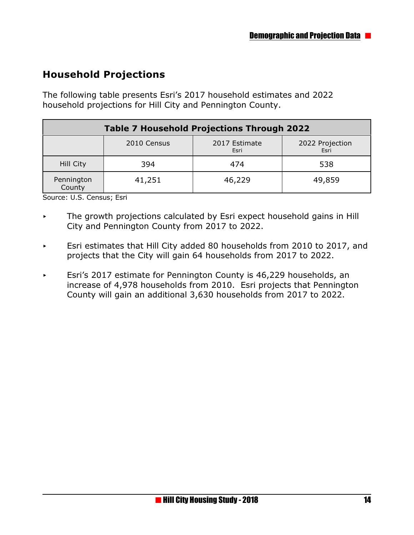## **Household Projections**

The following table presents Esri's 2017 household estimates and 2022 household projections for Hill City and Pennington County.

| <b>Table 7 Household Projections Through 2022</b> |             |                       |                         |  |
|---------------------------------------------------|-------------|-----------------------|-------------------------|--|
|                                                   | 2010 Census | 2017 Estimate<br>Esri | 2022 Projection<br>Esri |  |
| Hill City                                         | 394         | 474                   | 538                     |  |
| Pennington<br>County                              | 41,251      | 46,229                | 49,859                  |  |

Source: U.S. Census; Esri

- $\triangleright$  The growth projections calculated by Esri expect household gains in Hill City and Pennington County from 2017 to 2022.
- Esri estimates that Hill City added 80 households from 2010 to 2017, and projects that the City will gain 64 households from 2017 to 2022.
- $\overline{\phantom{a}}$  Esri's 2017 estimate for Pennington County is 46,229 households, an increase of 4,978 households from 2010. Esri projects that Pennington County will gain an additional 3,630 households from 2017 to 2022.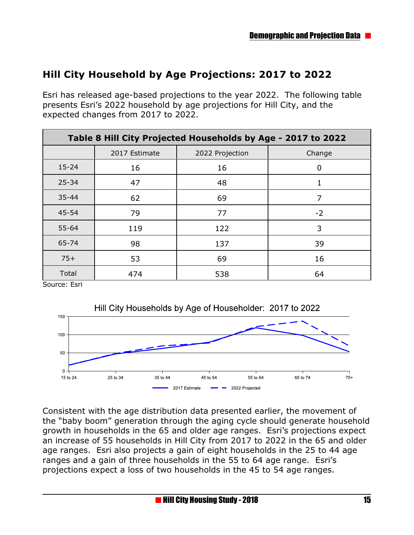## **Hill City Household by Age Projections: 2017 to 2022**

Esri has released age-based projections to the year 2022. The following table presents Esri's 2022 household by age projections for Hill City, and the expected changes from 2017 to 2022.

| Table 8 Hill City Projected Households by Age - 2017 to 2022 |               |                 |        |  |  |
|--------------------------------------------------------------|---------------|-----------------|--------|--|--|
|                                                              | 2017 Estimate | 2022 Projection | Change |  |  |
| $15 - 24$                                                    | 16            | 16              | 0      |  |  |
| $25 - 34$                                                    | 47            | 48              |        |  |  |
| $35 - 44$                                                    | 62            | 69              | 7      |  |  |
| 45-54                                                        | 79            | 77              | $-2$   |  |  |
| 55-64                                                        | 119           | 122             | 3      |  |  |
| 65-74                                                        | 98            | 137             | 39     |  |  |
| $75+$                                                        | 53            | 69              | 16     |  |  |
| Total                                                        | 474           | 538             | 64     |  |  |

Source: Esri



Consistent with the age distribution data presented earlier, the movement of the "baby boom" generation through the aging cycle should generate household growth in households in the 65 and older age ranges. Esri's projections expect an increase of 55 households in Hill City from 2017 to 2022 in the 65 and older age ranges. Esri also projects a gain of eight households in the 25 to 44 age ranges and a gain of three households in the 55 to 64 age range. Esri's projections expect a loss of two households in the 45 to 54 age ranges.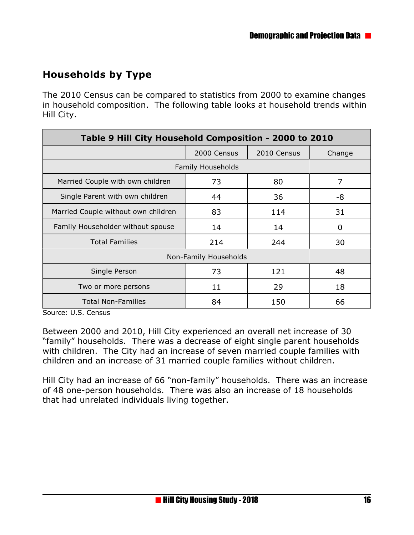## **Households by Type**

The 2010 Census can be compared to statistics from 2000 to examine changes in household composition. The following table looks at household trends within Hill City.

| Table 9 Hill City Household Composition - 2000 to 2010 |                          |             |        |  |
|--------------------------------------------------------|--------------------------|-------------|--------|--|
|                                                        | 2000 Census              | 2010 Census | Change |  |
|                                                        | <b>Family Households</b> |             |        |  |
| Married Couple with own children                       | 73                       | 80          | 7      |  |
| Single Parent with own children                        | 44                       | 36          | -8     |  |
| Married Couple without own children                    | 83                       | 114         | 31     |  |
| Family Householder without spouse                      | 14                       | 14          | 0      |  |
| <b>Total Families</b>                                  | 214                      | 244         | 30     |  |
|                                                        | Non-Family Households    |             |        |  |
| Single Person                                          | 73                       | 121         | 48     |  |
| Two or more persons                                    | 11                       | 29          | 18     |  |
| <b>Total Non-Families</b>                              | 84                       | 150         | 66     |  |

Source: U.S. Census

Between 2000 and 2010, Hill City experienced an overall net increase of 30 "family" households. There was a decrease of eight single parent households with children. The City had an increase of seven married couple families with children and an increase of 31 married couple families without children.

Hill City had an increase of 66 "non-family" households. There was an increase of 48 one-person households. There was also an increase of 18 households that had unrelated individuals living together.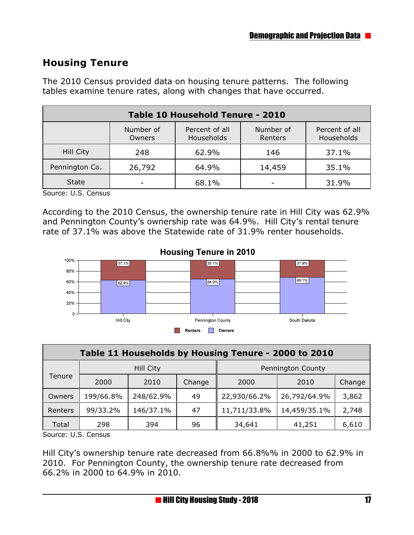#### **Housing Tenure**

The 2010 Census provided data on housing tenure patterns. The following tables examine tenure rates, along with changes that have occurred.

| Table 10 Household Tenure - 2010                                                                            |        |       |        |       |  |  |
|-------------------------------------------------------------------------------------------------------------|--------|-------|--------|-------|--|--|
| Number of<br>Percent of all<br>Number of<br>Percent of all<br>Households<br>Households<br>Renters<br>Owners |        |       |        |       |  |  |
| Hill City                                                                                                   | 248    | 62.9% | 146    | 37.1% |  |  |
| Pennington Co.                                                                                              | 26,792 | 64.9% | 14,459 | 35.1% |  |  |
| <b>State</b>                                                                                                |        | 68.1% |        | 31.9% |  |  |

Source: U.S. Census

According to the 2010 Census, the ownership tenure rate in Hill City was 62.9% and Pennington County's ownership rate was 64.9%. Hill City's rental tenure rate of 37.1% was above the Statewide rate of 31.9% renter households.



|                                                      |           |           | <b>FURNISION COUNTY</b> | OUULI DANULA      |              |        |
|------------------------------------------------------|-----------|-----------|-------------------------|-------------------|--------------|--------|
|                                                      |           |           | <b>Renters</b>          | Owners            |              |        |
| Table 11 Households by Housing Tenure - 2000 to 2010 |           |           |                         |                   |              |        |
|                                                      |           | Hill City |                         | Pennington County |              |        |
| Tenure                                               | 2000      | 2010      | Change                  | 2000              | 2010         | Change |
| Owners                                               | 199/66.8% | 248/62.9% | 49                      | 22,930/66.2%      | 26,792/64.9% | 3,862  |
| Renters                                              | 99/33.2%  | 146/37.1% | 47                      | 11,711/33.8%      | 14,459/35.1% | 2,748  |
| Total                                                | 298       | 394       | 96                      | 34,641            | 41,251       | 6,610  |

Source: U.S. Census

Hill City's ownership tenure rate decreased from 66.8%% in 2000 to 62.9% in 2010. For Pennington County, the ownership tenure rate decreased from 66.2% in 2000 to 64.9% in 2010.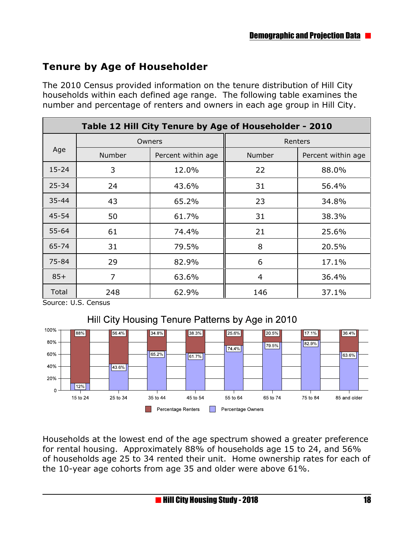## **Tenure by Age of Householder**

The 2010 Census provided information on the tenure distribution of Hill City households within each defined age range. The following table examines the number and percentage of renters and owners in each age group in Hill City.

|           | Table 12 Hill City Tenure by Age of Householder - 2010 |                                                        |        |                    |  |  |
|-----------|--------------------------------------------------------|--------------------------------------------------------|--------|--------------------|--|--|
|           |                                                        | Owners                                                 |        | Renters            |  |  |
| Age       | <b>Number</b>                                          | Percent within age<br>12.0%<br>43.6%<br>65.2%<br>61.7% | Number | Percent within age |  |  |
| $15 - 24$ | 3                                                      |                                                        | 22     | 88.0%              |  |  |
| $25 - 34$ | 24                                                     |                                                        | 31     | 56.4%              |  |  |
| 35-44     | 43                                                     |                                                        | 23     | 34.8%              |  |  |
| 45-54     | 50                                                     |                                                        | 31     | 38.3%              |  |  |
| $55 - 64$ | 61                                                     | 74.4%                                                  | 21     | 25.6%              |  |  |
| 65-74     | 31                                                     | 79.5%                                                  | 8      | 20.5%              |  |  |
| 75-84     | 29                                                     | 82.9%                                                  | 6      | 17.1%              |  |  |
| $85+$     | $\overline{7}$                                         | 63.6%                                                  | 4      | 36.4%              |  |  |
| Total     | 248                                                    | 62.9%                                                  | 146    | 37.1%              |  |  |

Source: U.S. Census





Households at the lowest end of the age spectrum showed a greater preference for rental housing. Approximately 88% of households age 15 to 24, and 56% of households age 25 to 34 rented their unit. Home ownership rates for each of the 10-year age cohorts from age 35 and older were above 61%.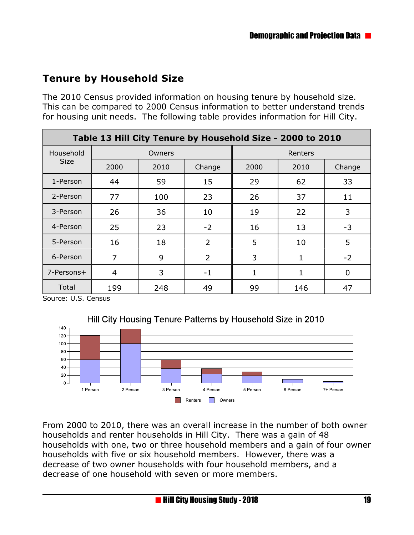## **Tenure by Household Size**

The 2010 Census provided information on housing tenure by household size. This can be compared to 2000 Census information to better understand trends for housing unit needs. The following table provides information for Hill City.

| Table 13 Hill City Tenure by Household Size - 2000 to 2010 |                |        |                |         |      |             |  |
|------------------------------------------------------------|----------------|--------|----------------|---------|------|-------------|--|
| Household                                                  |                | Owners |                | Renters |      |             |  |
| <b>Size</b>                                                | 2000           | 2010   | Change         | 2000    | 2010 | Change      |  |
| 1-Person                                                   | 44             | 59     | 15             | 29      | 62   | 33          |  |
| 2-Person                                                   | 77             | 100    | 23             | 26      | 37   | 11          |  |
| 3-Person                                                   | 26             | 36     | 10             | 19      | 22   | 3           |  |
| 4-Person                                                   | 25             | 23     | $-2$           | 16      | 13   | $-3$        |  |
| 5-Person                                                   | 16             | 18     | $\overline{2}$ | 5       | 10   | 5           |  |
| 6-Person                                                   | 7              | 9      | $\overline{2}$ | 3       | 1    | $-2$        |  |
| 7-Persons+                                                 | $\overline{4}$ | 3      | $-1$           | 1       | 1    | $\mathbf 0$ |  |
| Total                                                      | 199            | 248    | 49             | 99      | 146  | 47          |  |

Source: U.S. Census

 $\Omega$ 

1 Person

2 Person

3 Person



From 2000 to 2010, there was an overall increase in the number of both owner households and renter households in Hill City. There was a gain of 48 households with one, two or three household members and a gain of four owner households with five or six household members. However, there was a decrease of two owner households with four household members, and a decrease of one household with seven or more members.

4 Person

Renters **Owners** 

5 Person

6 Person

7+ Person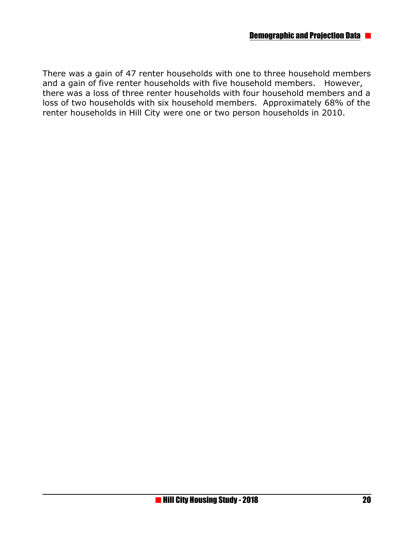There was a gain of 47 renter households with one to three household members and a gain of five renter households with five household members. However, there was a loss of three renter households with four household members and a loss of two households with six household members. Approximately 68% of the renter households in Hill City were one or two person households in 2010.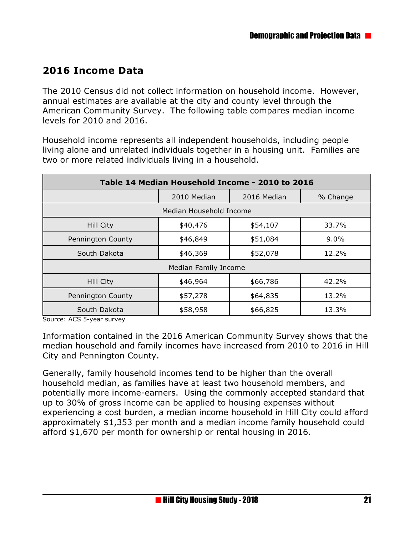#### **2016 Income Data**

The 2010 Census did not collect information on household income. However, annual estimates are available at the city and county level through the American Community Survey. The following table compares median income levels for 2010 and 2016.

Household income represents all independent households, including people living alone and unrelated individuals together in a housing unit. Families are two or more related individuals living in a household.

| Table 14 Median Household Income - 2010 to 2016 |                      |             |          |  |
|-------------------------------------------------|----------------------|-------------|----------|--|
|                                                 | 2010 Median          | 2016 Median | % Change |  |
| Median Household Income                         |                      |             |          |  |
| Hill City                                       | \$40,476             | \$54,107    | 33.7%    |  |
| Pennington County                               | \$46,849             | \$51,084    | $9.0\%$  |  |
| South Dakota                                    | \$46,369             | \$52,078    | 12.2%    |  |
|                                                 | Median Family Income |             |          |  |
| Hill City                                       | \$46,964             | \$66,786    | 42.2%    |  |
| Pennington County                               | \$57,278             | \$64,835    | 13.2%    |  |
| South Dakota                                    | \$58,958             | \$66,825    | 13.3%    |  |

Source: ACS 5-year survey

Information contained in the 2016 American Community Survey shows that the median household and family incomes have increased from 2010 to 2016 in Hill City and Pennington County.

Generally, family household incomes tend to be higher than the overall household median, as families have at least two household members, and potentially more income-earners. Using the commonly accepted standard that up to 30% of gross income can be applied to housing expenses without experiencing a cost burden, a median income household in Hill City could afford approximately \$1,353 per month and a median income family household could afford \$1,670 per month for ownership or rental housing in 2016.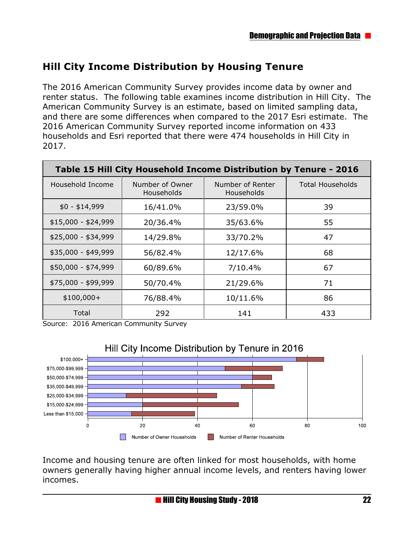## **Hill City Income Distribution by Housing Tenure**

The 2016 American Community Survey provides income data by owner and renter status. The following table examines income distribution in Hill City. The American Community Survey is an estimate, based on limited sampling data, and there are some differences when compared to the 2017 Esri estimate. The 2016 American Community Survey reported income information on 433 households and Esri reported that there were 474 households in Hill City in 2017.

| Table 15 Hill City Household Income Distribution by Tenure - 2016 |                               |                                       |                         |  |  |
|-------------------------------------------------------------------|-------------------------------|---------------------------------------|-------------------------|--|--|
| Household Income                                                  | Number of Owner<br>Households | Number of Renter<br><b>Households</b> | <b>Total Households</b> |  |  |
| $$0 - $14,999$                                                    | 16/41.0%                      | 23/59.0%                              | 39                      |  |  |
| $$15,000 - $24,999$                                               | 20/36.4%                      | 35/63.6%                              | 55                      |  |  |
| $$25,000 - $34,999$                                               | 14/29.8%                      | 33/70.2%                              | 47                      |  |  |
| \$35,000 - \$49,999                                               | 56/82.4%                      | 12/17.6%                              | 68                      |  |  |
| \$50,000 - \$74,999                                               | 60/89.6%                      | 7/10.4%                               | 67                      |  |  |
| \$75,000 - \$99,999                                               | 50/70.4%                      | 21/29.6%                              | 71                      |  |  |
| $$100,000+$                                                       | 76/88.4%                      | 10/11.6%                              | 86                      |  |  |
| Total                                                             | 292                           | 141                                   | 433                     |  |  |

Source: 2016 American Community Survey



Income and housing tenure are often linked for most households, with home owners generally having higher annual income levels, and renters having lower incomes.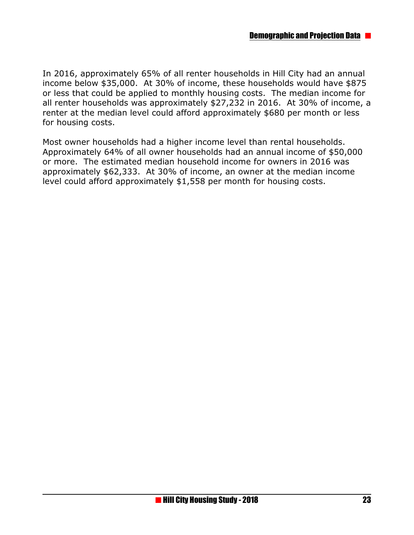In 2016, approximately 65% of all renter households in Hill City had an annual income below \$35,000. At 30% of income, these households would have \$875 or less that could be applied to monthly housing costs. The median income for all renter households was approximately \$27,232 in 2016. At 30% of income, a renter at the median level could afford approximately \$680 per month or less for housing costs.

Most owner households had a higher income level than rental households. Approximately 64% of all owner households had an annual income of \$50,000 or more. The estimated median household income for owners in 2016 was approximately \$62,333. At 30% of income, an owner at the median income level could afford approximately \$1,558 per month for housing costs.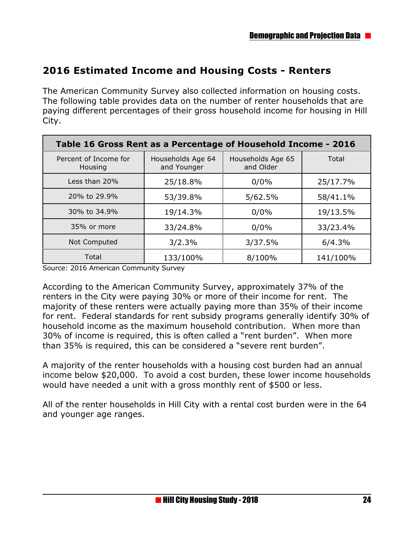#### **2016 Estimated Income and Housing Costs - Renters**

The American Community Survey also collected information on housing costs. The following table provides data on the number of renter households that are paying different percentages of their gross household income for housing in Hill City.

| Table 16 Gross Rent as a Percentage of Household Income - 2016 |                                  |                                |          |  |  |
|----------------------------------------------------------------|----------------------------------|--------------------------------|----------|--|--|
| Percent of Income for<br>Housing                               | Households Age 64<br>and Younger | Households Age 65<br>and Older | Total    |  |  |
| Less than 20%                                                  | 25/18.8%                         | 0/0%                           | 25/17.7% |  |  |
| 20% to 29.9%                                                   | 53/39.8%                         | 5/62.5%                        | 58/41.1% |  |  |
| 30% to 34.9%                                                   | 19/14.3%                         | 0/0%                           | 19/13.5% |  |  |
| 35% or more                                                    | 33/24.8%                         | 0/0%                           | 33/23.4% |  |  |
| Not Computed                                                   | 3/2.3%                           | 3/37.5%                        | 6/4.3%   |  |  |
| Total                                                          | 133/100%                         | 8/100%                         | 141/100% |  |  |

Source: 2016 American Community Survey

According to the American Community Survey, approximately 37% of the renters in the City were paying 30% or more of their income for rent. The majority of these renters were actually paying more than 35% of their income for rent. Federal standards for rent subsidy programs generally identify 30% of household income as the maximum household contribution. When more than 30% of income is required, this is often called a "rent burden". When more than 35% is required, this can be considered a "severe rent burden".

A majority of the renter households with a housing cost burden had an annual income below \$20,000. To avoid a cost burden, these lower income households would have needed a unit with a gross monthly rent of \$500 or less.

All of the renter households in Hill City with a rental cost burden were in the 64 and younger age ranges.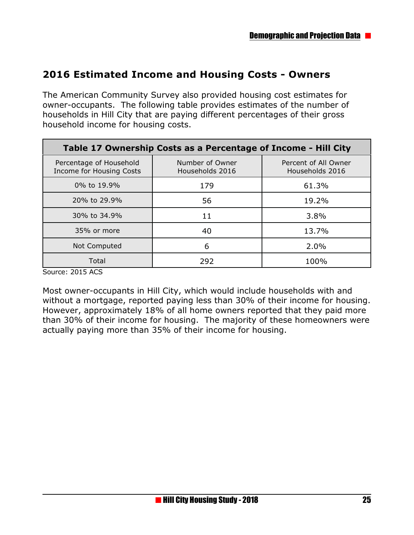#### **2016 Estimated Income and Housing Costs - Owners**

The American Community Survey also provided housing cost estimates for owner-occupants. The following table provides estimates of the number of households in Hill City that are paying different percentages of their gross household income for housing costs.

| Table 17 Ownership Costs as a Percentage of Income - Hill City |                                    |                                         |  |  |  |
|----------------------------------------------------------------|------------------------------------|-----------------------------------------|--|--|--|
| Percentage of Household<br><b>Income for Housing Costs</b>     | Number of Owner<br>Households 2016 | Percent of All Owner<br>Households 2016 |  |  |  |
| 0% to 19.9%                                                    | 179                                | 61.3%                                   |  |  |  |
| 20% to 29.9%                                                   | 56                                 | 19.2%                                   |  |  |  |
| 30% to 34.9%                                                   | 11                                 | 3.8%                                    |  |  |  |
| 35% or more                                                    | 40                                 | 13.7%                                   |  |  |  |
| Not Computed                                                   | 6                                  | 2.0%                                    |  |  |  |
| Total                                                          | 292                                | 100%                                    |  |  |  |

Source: 2015 ACS

Most owner-occupants in Hill City, which would include households with and without a mortgage, reported paying less than 30% of their income for housing. However, approximately 18% of all home owners reported that they paid more than 30% of their income for housing. The majority of these homeowners were actually paying more than 35% of their income for housing.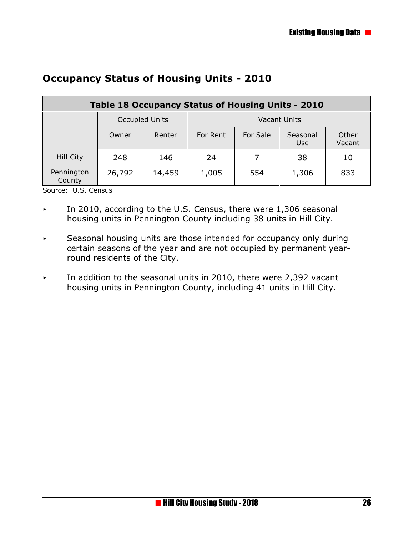| Table 18 Occupancy Status of Housing Units - 2010 |                |        |                     |          |                  |                 |
|---------------------------------------------------|----------------|--------|---------------------|----------|------------------|-----------------|
|                                                   | Occupied Units |        | <b>Vacant Units</b> |          |                  |                 |
|                                                   | Owner          | Renter | For Rent            | For Sale | Seasonal<br>Use. | Other<br>Vacant |
| Hill City                                         | 248            | 146    | 24                  |          | 38               | 10              |
| Pennington<br>County                              | 26,792         | 14,459 | 1,005               | 554      | 1,306            | 833             |

#### **Occupancy Status of Housing Units - 2010**

Source: U.S. Census

- $\triangleright$  In 2010, according to the U.S. Census, there were 1,306 seasonal housing units in Pennington County including 38 units in Hill City.
- $\overline{\phantom{a}}$  Seasonal housing units are those intended for occupancy only during certain seasons of the year and are not occupied by permanent yearround residents of the City.
- In addition to the seasonal units in 2010, there were 2,392 vacant housing units in Pennington County, including 41 units in Hill City.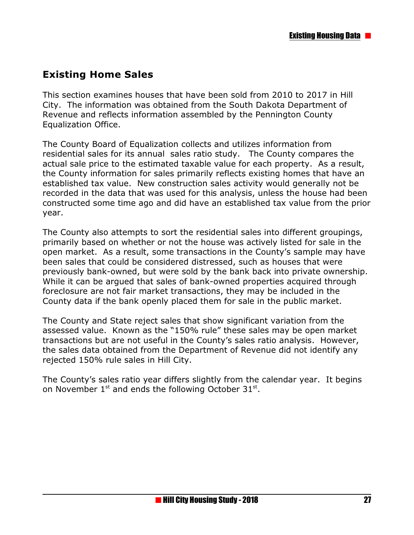## **Existing Home Sales**

This section examines houses that have been sold from 2010 to 2017 in Hill City. The information was obtained from the South Dakota Department of Revenue and reflects information assembled by the Pennington County Equalization Office.

The County Board of Equalization collects and utilizes information from residential sales for its annual sales ratio study. The County compares the actual sale price to the estimated taxable value for each property. As a result, the County information for sales primarily reflects existing homes that have an established tax value. New construction sales activity would generally not be recorded in the data that was used for this analysis, unless the house had been constructed some time ago and did have an established tax value from the prior year.

The County also attempts to sort the residential sales into different groupings, primarily based on whether or not the house was actively listed for sale in the open market. As a result, some transactions in the County's sample may have been sales that could be considered distressed, such as houses that were previously bank-owned, but were sold by the bank back into private ownership. While it can be argued that sales of bank-owned properties acquired through foreclosure are not fair market transactions, they may be included in the County data if the bank openly placed them for sale in the public market.

The County and State reject sales that show significant variation from the assessed value. Known as the "150% rule" these sales may be open market transactions but are not useful in the County's sales ratio analysis. However, the sales data obtained from the Department of Revenue did not identify any rejected 150% rule sales in Hill City.

The County's sales ratio year differs slightly from the calendar year. It begins on November  $1^{st}$  and ends the following October 31 $^{st}$ .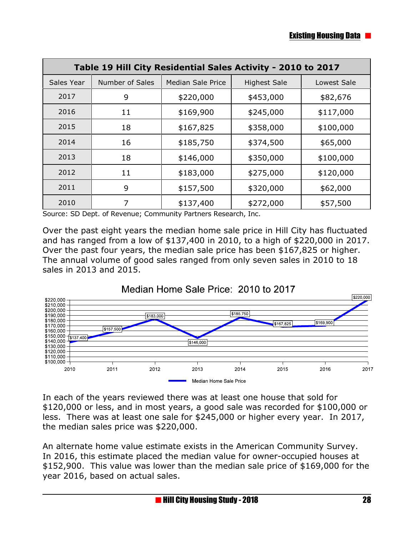| Table 19 Hill City Residential Sales Activity - 2010 to 2017 |                        |                          |                     |             |  |
|--------------------------------------------------------------|------------------------|--------------------------|---------------------|-------------|--|
| Sales Year                                                   | <b>Number of Sales</b> | <b>Median Sale Price</b> | <b>Highest Sale</b> | Lowest Sale |  |
| 2017                                                         | 9                      | \$220,000                | \$453,000           | \$82,676    |  |
| 2016                                                         | 11                     | \$169,900                | \$245,000           | \$117,000   |  |
| 2015                                                         | 18                     | \$167,825                | \$358,000           | \$100,000   |  |
| 2014                                                         | 16                     | \$185,750                | \$374,500           | \$65,000    |  |
| 2013                                                         | 18                     | \$146,000                | \$350,000           | \$100,000   |  |
| 2012                                                         | 11                     | \$183,000                | \$275,000           | \$120,000   |  |
| 2011                                                         | 9                      | \$157,500                | \$320,000           | \$62,000    |  |
| 2010                                                         | 7                      | \$137,400                | \$272,000           | \$57,500    |  |

Source: SD Dept. of Revenue; Community Partners Research, Inc.

Over the past eight years the median home sale price in Hill City has fluctuated and has ranged from a low of \$137,400 in 2010, to a high of \$220,000 in 2017. Over the past four years, the median sale price has been \$167,825 or higher. The annual volume of good sales ranged from only seven sales in 2010 to 18 sales in 2013 and 2015.



In each of the years reviewed there was at least one house that sold for \$120,000 or less, and in most years, a good sale was recorded for \$100,000 or less. There was at least one sale for \$245,000 or higher every year. In 2017, the median sales price was \$220,000.

An alternate home value estimate exists in the American Community Survey. In 2016, this estimate placed the median value for owner-occupied houses at \$152,900. This value was lower than the median sale price of \$169,000 for the year 2016, based on actual sales.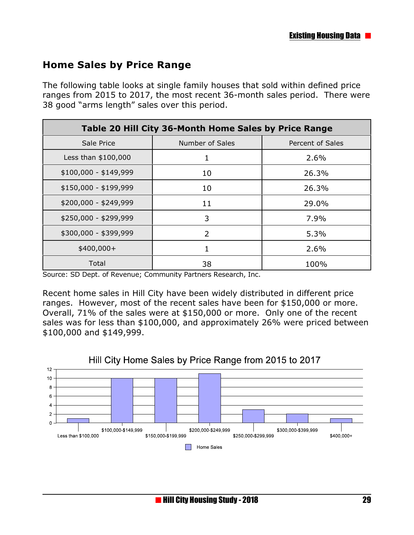#### **Home Sales by Price Range**

The following table looks at single family houses that sold within defined price ranges from 2015 to 2017, the most recent 36-month sales period. There were 38 good "arms length" sales over this period.

| Table 20 Hill City 36-Month Home Sales by Price Range |                 |                  |  |  |  |
|-------------------------------------------------------|-----------------|------------------|--|--|--|
| Sale Price                                            | Number of Sales | Percent of Sales |  |  |  |
| Less than \$100,000                                   |                 | 2.6%             |  |  |  |
| $$100,000 - $149,999$                                 | 10              | 26.3%            |  |  |  |
| \$150,000 - \$199,999                                 | 10              | 26.3%            |  |  |  |
| \$200,000 - \$249,999                                 | 11              | 29.0%            |  |  |  |
| \$250,000 - \$299,999                                 | 3               | 7.9%             |  |  |  |
| \$300,000 - \$399,999                                 | $\overline{2}$  | 5.3%             |  |  |  |
| $$400,000+$                                           |                 | 2.6%             |  |  |  |
| Total                                                 | 38              | 100%             |  |  |  |

Source: SD Dept. of Revenue; Community Partners Research, Inc.

Recent home sales in Hill City have been widely distributed in different price ranges. However, most of the recent sales have been for \$150,000 or more. Overall, 71% of the sales were at \$150,000 or more. Only one of the recent sales was for less than \$100,000, and approximately 26% were priced between \$100,000 and \$149,999.



#### Hill City Home Sales by Price Range from 2015 to 2017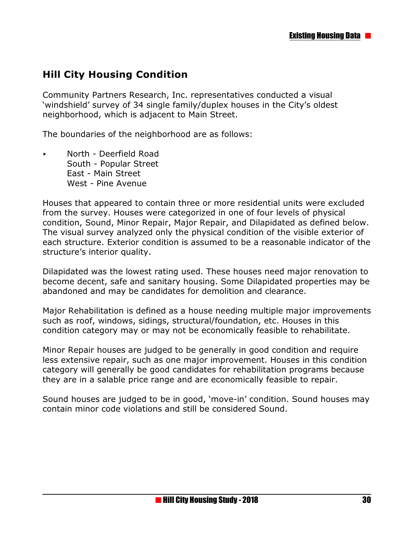#### **Hill City Housing Condition**

Community Partners Research, Inc. representatives conducted a visual 'windshield' survey of 34 single family/duplex houses in the City's oldest neighborhood, which is adjacent to Main Street.

The boundaries of the neighborhood are as follows:

< North - Deerfield Road South - Popular Street East - Main Street West - Pine Avenue

Houses that appeared to contain three or more residential units were excluded from the survey. Houses were categorized in one of four levels of physical condition, Sound, Minor Repair, Major Repair, and Dilapidated as defined below. The visual survey analyzed only the physical condition of the visible exterior of each structure. Exterior condition is assumed to be a reasonable indicator of the structure's interior quality.

Dilapidated was the lowest rating used. These houses need major renovation to become decent, safe and sanitary housing. Some Dilapidated properties may be abandoned and may be candidates for demolition and clearance.

Major Rehabilitation is defined as a house needing multiple major improvements such as roof, windows, sidings, structural/foundation, etc. Houses in this condition category may or may not be economically feasible to rehabilitate.

Minor Repair houses are judged to be generally in good condition and require less extensive repair, such as one major improvement. Houses in this condition category will generally be good candidates for rehabilitation programs because they are in a salable price range and are economically feasible to repair.

Sound houses are judged to be in good, 'move-in' condition. Sound houses may contain minor code violations and still be considered Sound.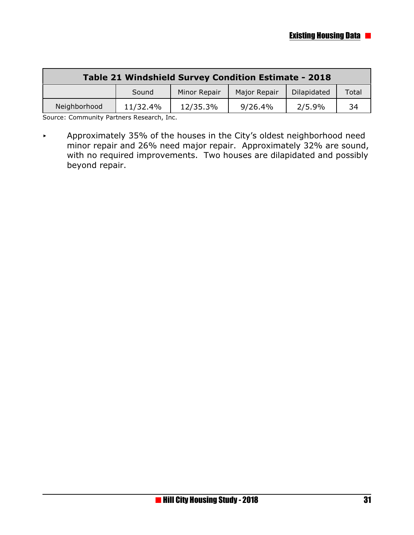| Table 21 Windshield Survey Condition Estimate - 2018 |                                                               |          |         |        |    |  |  |
|------------------------------------------------------|---------------------------------------------------------------|----------|---------|--------|----|--|--|
|                                                      | Minor Repair<br>Dilapidated<br>Major Repair<br>Total<br>Sound |          |         |        |    |  |  |
| Neighborhood                                         | 11/32.4%                                                      | 12/35.3% | 9/26.4% | 2/5.9% | 34 |  |  |

Source: Community Partners Research, Inc.

< Approximately 35% of the houses in the City's oldest neighborhood need minor repair and 26% need major repair. Approximately 32% are sound, with no required improvements. Two houses are dilapidated and possibly beyond repair.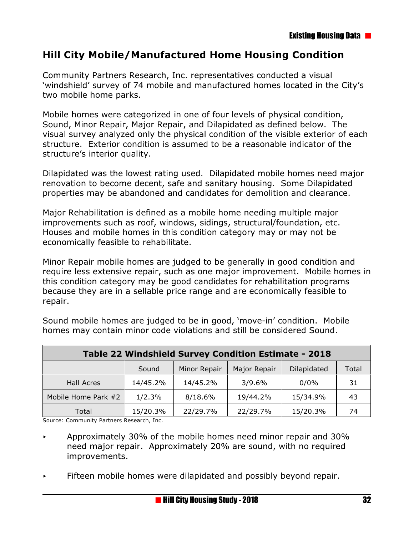#### **Hill City Mobile/Manufactured Home Housing Condition**

Community Partners Research, Inc. representatives conducted a visual 'windshield' survey of 74 mobile and manufactured homes located in the City's two mobile home parks.

Mobile homes were categorized in one of four levels of physical condition, Sound, Minor Repair, Major Repair, and Dilapidated as defined below. The visual survey analyzed only the physical condition of the visible exterior of each structure. Exterior condition is assumed to be a reasonable indicator of the structure's interior quality.

Dilapidated was the lowest rating used. Dilapidated mobile homes need major renovation to become decent, safe and sanitary housing. Some Dilapidated properties may be abandoned and candidates for demolition and clearance.

Major Rehabilitation is defined as a mobile home needing multiple major improvements such as roof, windows, sidings, structural/foundation, etc. Houses and mobile homes in this condition category may or may not be economically feasible to rehabilitate.

Minor Repair mobile homes are judged to be generally in good condition and require less extensive repair, such as one major improvement. Mobile homes in this condition category may be good candidates for rehabilitation programs because they are in a sellable price range and are economically feasible to repair.

| Table 22 Windshield Survey Condition Estimate - 2018 |          |              |              |             |       |  |  |
|------------------------------------------------------|----------|--------------|--------------|-------------|-------|--|--|
|                                                      | Sound    | Minor Repair | Major Repair | Dilapidated | Total |  |  |
| Hall Acres                                           | 14/45.2% | 14/45.2%     | 3/9.6%       | 0/0%        | 31    |  |  |
| Mobile Home Park #2                                  | 1/2.3%   | 8/18.6%      | 19/44.2%     | 15/34.9%    | 43    |  |  |
| Total                                                | 15/20.3% | 22/29.7%     | 22/29.7%     | 15/20.3%    | 74    |  |  |

Sound mobile homes are judged to be in good, 'move-in' condition. Mobile homes may contain minor code violations and still be considered Sound.

Source: Community Partners Research, Inc.

- < Approximately 30% of the mobile homes need minor repair and 30% need major repair. Approximately 20% are sound, with no required improvements.
- Fifteen mobile homes were dilapidated and possibly beyond repair.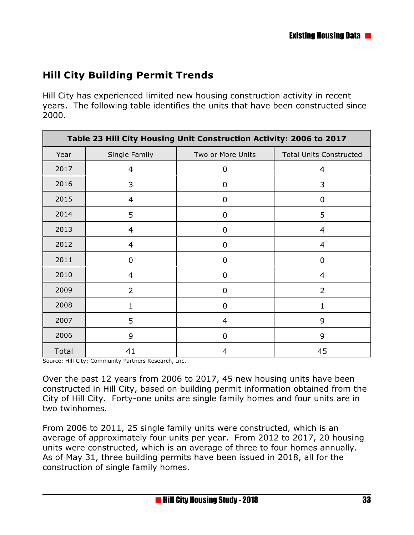## **Hill City Building Permit Trends**

Hill City has experienced limited new housing construction activity in recent years. The following table identifies the units that have been constructed since 2000.

| Table 23 Hill City Housing Unit Construction Activity: 2006 to 2017 |                |                   |                                |
|---------------------------------------------------------------------|----------------|-------------------|--------------------------------|
| Year                                                                | Single Family  | Two or More Units | <b>Total Units Constructed</b> |
| 2017                                                                | 4              | 0                 | 4                              |
| 2016                                                                | 3              | 0                 | 3                              |
| 2015                                                                | 4              | 0                 | 0                              |
| 2014                                                                | 5              | $\mathbf 0$       | 5                              |
| 2013                                                                | 4              | 0                 | $\overline{4}$                 |
| 2012                                                                | 4              | 0                 | 4                              |
| 2011                                                                | 0              | 0                 | 0                              |
| 2010                                                                | 4              | 0                 | 4                              |
| 2009                                                                | $\overline{2}$ | $\mathbf 0$       | $\overline{2}$                 |
| 2008                                                                | 1              | 0                 | 1                              |
| 2007                                                                | 5              | $\overline{4}$    | 9                              |
| 2006                                                                | 9              | $\mathbf 0$       | 9                              |
| Total                                                               | 41             | 4                 | 45                             |

Source: Hill City; Community Partners Research, Inc.

Over the past 12 years from 2006 to 2017, 45 new housing units have been constructed in Hill City, based on building permit information obtained from the City of Hill City. Forty-one units are single family homes and four units are in two twinhomes.

From 2006 to 2011, 25 single family units were constructed, which is an average of approximately four units per year. From 2012 to 2017, 20 housing units were constructed, which is an average of three to four homes annually. As of May 31, three building permits have been issued in 2018, all for the construction of single family homes.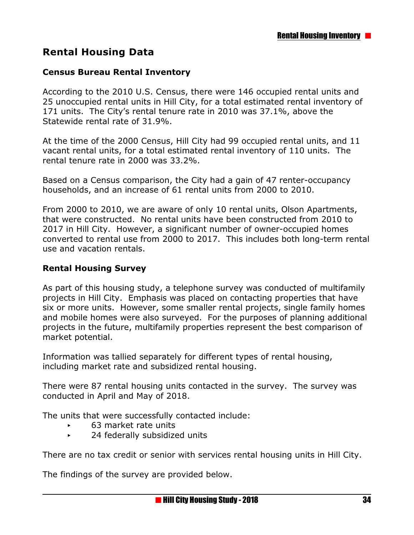#### **Rental Housing Data**

#### **Census Bureau Rental Inventory**

According to the 2010 U.S. Census, there were 146 occupied rental units and 25 unoccupied rental units in Hill City, for a total estimated rental inventory of 171 units. The City's rental tenure rate in 2010 was 37.1%, above the Statewide rental rate of 31.9%.

At the time of the 2000 Census, Hill City had 99 occupied rental units, and 11 vacant rental units, for a total estimated rental inventory of 110 units. The rental tenure rate in 2000 was 33.2%.

Based on a Census comparison, the City had a gain of 47 renter-occupancy households, and an increase of 61 rental units from 2000 to 2010.

From 2000 to 2010, we are aware of only 10 rental units, Olson Apartments, that were constructed. No rental units have been constructed from 2010 to 2017 in Hill City. However, a significant number of owner-occupied homes converted to rental use from 2000 to 2017. This includes both long-term rental use and vacation rentals.

#### **Rental Housing Survey**

As part of this housing study, a telephone survey was conducted of multifamily projects in Hill City. Emphasis was placed on contacting properties that have six or more units. However, some smaller rental projects, single family homes and mobile homes were also surveyed. For the purposes of planning additional projects in the future, multifamily properties represent the best comparison of market potential.

Information was tallied separately for different types of rental housing, including market rate and subsidized rental housing.

There were 87 rental housing units contacted in the survey. The survey was conducted in April and May of 2018.

The units that were successfully contacted include:

- ▶ 63 market rate units
- ▶ 24 federally subsidized units

There are no tax credit or senior with services rental housing units in Hill City.

The findings of the survey are provided below.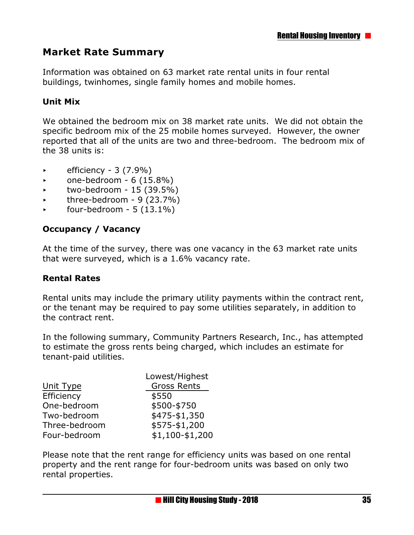#### **Market Rate Summary**

Information was obtained on 63 market rate rental units in four rental buildings, twinhomes, single family homes and mobile homes.

#### **Unit Mix**

We obtained the bedroom mix on 38 market rate units. We did not obtain the specific bedroom mix of the 25 mobile homes surveyed. However, the owner reported that all of the units are two and three-bedroom. The bedroom mix of the 38 units is:

- < efficiency 3 (7.9%)
- $\sim$  one-bedroom 6 (15.8%)
- $\sim$  two-bedroom 15 (39.5%)
- $\blacktriangleright$  three-bedroom 9 (23.7%)
- $\blacktriangleright$  four-bedroom 5 (13.1%)

#### **Occupancy / Vacancy**

At the time of the survey, there was one vacancy in the 63 market rate units that were surveyed, which is a 1.6% vacancy rate.

#### **Rental Rates**

Rental units may include the primary utility payments within the contract rent, or the tenant may be required to pay some utilities separately, in addition to the contract rent.

In the following summary, Community Partners Research, Inc., has attempted to estimate the gross rents being charged, which includes an estimate for tenant-paid utilities.

| Lowest/Highest     |  |
|--------------------|--|
| <b>Gross Rents</b> |  |
| \$550              |  |
| \$500-\$750        |  |
| \$475-\$1,350      |  |
| \$575-\$1,200      |  |
| $$1,100 - $1,200$  |  |
|                    |  |

Please note that the rent range for efficiency units was based on one rental property and the rent range for four-bedroom units was based on only two rental properties.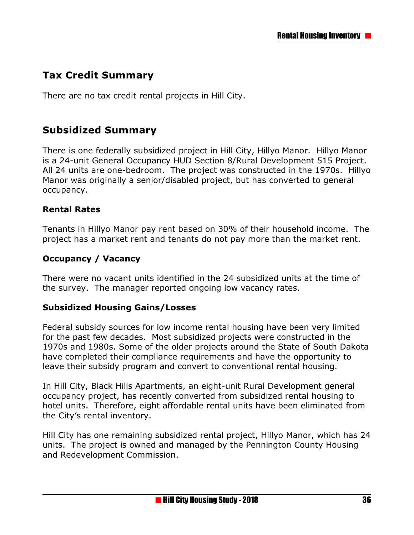# **Tax Credit Summary**

There are no tax credit rental projects in Hill City.

# **Subsidized Summary**

There is one federally subsidized project in Hill City, Hillyo Manor. Hillyo Manor is a 24-unit General Occupancy HUD Section 8/Rural Development 515 Project. All 24 units are one-bedroom. The project was constructed in the 1970s. Hillyo Manor was originally a senior/disabled project, but has converted to general occupancy.

#### **Rental Rates**

Tenants in Hillyo Manor pay rent based on 30% of their household income. The project has a market rent and tenants do not pay more than the market rent.

#### **Occupancy / Vacancy**

There were no vacant units identified in the 24 subsidized units at the time of the survey. The manager reported ongoing low vacancy rates.

#### **Subsidized Housing Gains/Losses**

Federal subsidy sources for low income rental housing have been very limited for the past few decades. Most subsidized projects were constructed in the 1970s and 1980s. Some of the older projects around the State of South Dakota have completed their compliance requirements and have the opportunity to leave their subsidy program and convert to conventional rental housing.

In Hill City, Black Hills Apartments, an eight-unit Rural Development general occupancy project, has recently converted from subsidized rental housing to hotel units. Therefore, eight affordable rental units have been eliminated from the City's rental inventory.

Hill City has one remaining subsidized rental project, Hillyo Manor, which has 24 units. The project is owned and managed by the Pennington County Housing and Redevelopment Commission.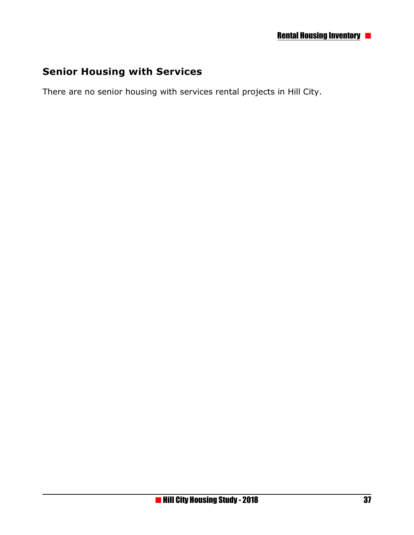# **Senior Housing with Services**

There are no senior housing with services rental projects in Hill City.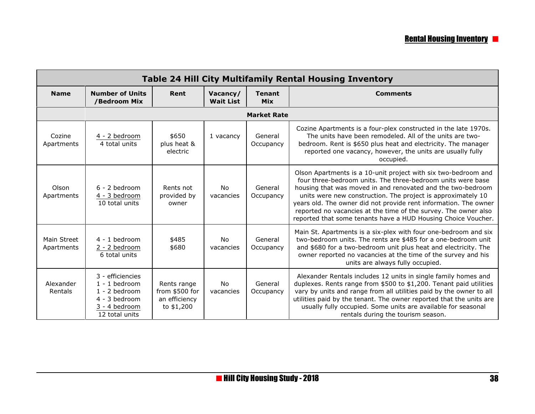| <b>Table 24 Hill City Multifamily Rental Housing Inventory</b> |                                                                                                            |                                                              |                              |                             |                                                                                                                                                                                                                                                                                                                                                                                                                                                                      |
|----------------------------------------------------------------|------------------------------------------------------------------------------------------------------------|--------------------------------------------------------------|------------------------------|-----------------------------|----------------------------------------------------------------------------------------------------------------------------------------------------------------------------------------------------------------------------------------------------------------------------------------------------------------------------------------------------------------------------------------------------------------------------------------------------------------------|
| <b>Name</b>                                                    | <b>Number of Units</b><br>/Bedroom Mix                                                                     | Rent                                                         | Vacancy/<br><b>Wait List</b> | <b>Tenant</b><br><b>Mix</b> | <b>Comments</b>                                                                                                                                                                                                                                                                                                                                                                                                                                                      |
|                                                                |                                                                                                            |                                                              |                              | <b>Market Rate</b>          |                                                                                                                                                                                                                                                                                                                                                                                                                                                                      |
| Cozine<br>Apartments                                           | 4 - 2 bedroom<br>4 total units                                                                             | \$650<br>plus heat &<br>electric                             | 1 vacancy                    | General<br>Occupancy        | Cozine Apartments is a four-plex constructed in the late 1970s.<br>The units have been remodeled. All of the units are two-<br>bedroom. Rent is \$650 plus heat and electricity. The manager<br>reported one vacancy, however, the units are usually fully<br>occupied.                                                                                                                                                                                              |
| Olson<br>Apartments                                            | $6 - 2$ bedroom<br>4 - 3 bedroom<br>10 total units                                                         | Rents not<br>provided by<br>owner                            | No<br>vacancies              | General<br>Occupancy        | Olson Apartments is a 10-unit project with six two-bedroom and<br>four three-bedroom units. The three-bedroom units were base<br>housing that was moved in and renovated and the two-bedroom<br>units were new construction. The project is approximately 10<br>years old. The owner did not provide rent information. The owner<br>reported no vacancies at the time of the survey. The owner also<br>reported that some tenants have a HUD Housing Choice Voucher. |
| Main Street<br>Apartments                                      | $4 - 1$ bedroom<br>2 - 2 bedroom<br>6 total units                                                          | \$485<br>\$680                                               | <b>No</b><br>vacancies       | General<br>Occupancy        | Main St. Apartments is a six-plex with four one-bedroom and six<br>two-bedroom units. The rents are \$485 for a one-bedroom unit<br>and \$680 for a two-bedroom unit plus heat and electricity. The<br>owner reported no vacancies at the time of the survey and his<br>units are always fully occupied.                                                                                                                                                             |
| Alexander<br>Rentals                                           | 3 - efficiencies<br>$1 - 1$ bedroom<br>$1 - 2$ bedroom<br>4 - 3 bedroom<br>3 - 4 bedroom<br>12 total units | Rents range<br>from \$500 for<br>an efficiency<br>to \$1,200 | <b>No</b><br>vacancies       | General<br>Occupancy        | Alexander Rentals includes 12 units in single family homes and<br>duplexes. Rents range from \$500 to \$1,200. Tenant paid utilities<br>vary by units and range from all utilities paid by the owner to all<br>utilities paid by the tenant. The owner reported that the units are<br>usually fully occupied. Some units are available for seasonal<br>rentals during the tourism season.                                                                            |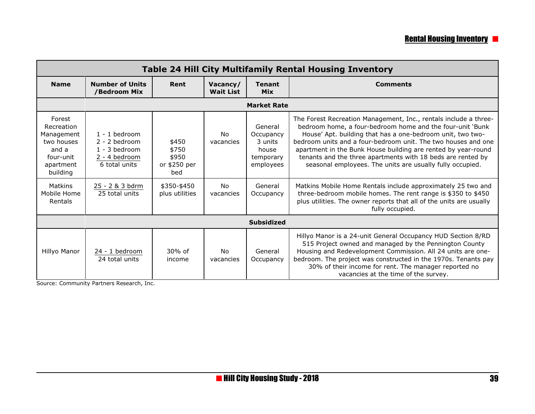# **Rental Housing Inventory <b>P**

| <b>Table 24 Hill City Multifamily Rental Housing Inventory</b>                                  |                                                                                         |                                                |                              |                                                                    |                                                                                                                                                                                                                                                                                                                                                                                                                                                           |  |
|-------------------------------------------------------------------------------------------------|-----------------------------------------------------------------------------------------|------------------------------------------------|------------------------------|--------------------------------------------------------------------|-----------------------------------------------------------------------------------------------------------------------------------------------------------------------------------------------------------------------------------------------------------------------------------------------------------------------------------------------------------------------------------------------------------------------------------------------------------|--|
| <b>Name</b>                                                                                     | <b>Number of Units</b><br>/Bedroom Mix                                                  | Rent                                           | Vacancy/<br><b>Wait List</b> | <b>Tenant</b><br><b>Mix</b>                                        | <b>Comments</b>                                                                                                                                                                                                                                                                                                                                                                                                                                           |  |
|                                                                                                 |                                                                                         |                                                |                              | <b>Market Rate</b>                                                 |                                                                                                                                                                                                                                                                                                                                                                                                                                                           |  |
| Forest<br>Recreation<br>Management<br>two houses<br>and a<br>four-unit<br>apartment<br>building | $1 - 1$ bedroom<br>$2 - 2$ bedroom<br>$1 - 3$ bedroom<br>2 - 4 bedroom<br>6 total units | \$450<br>\$750<br>\$950<br>or \$250 per<br>bed | <b>No</b><br>vacancies       | General<br>Occupancy<br>3 units<br>house<br>temporary<br>employees | The Forest Recreation Management, Inc., rentals include a three-<br>bedroom home, a four-bedroom home and the four-unit 'Bunk<br>House' Apt. building that has a one-bedroom unit, two two-<br>bedroom units and a four-bedroom unit. The two houses and one<br>apartment in the Bunk House building are rented by year-round<br>tenants and the three apartments with 18 beds are rented by<br>seasonal employees. The units are usually fully occupied. |  |
| Matkins<br>Mobile Home<br>Rentals                                                               | 25 - 2 & 3 bdrm<br>25 total units                                                       | \$350-\$450<br>plus utilities                  | <b>No</b><br>vacancies       | General<br>Occupancy                                               | Matkins Mobile Home Rentals include approximately 25 two and<br>three-bedroom mobile homes. The rent range is \$350 to \$450<br>plus utilities. The owner reports that all of the units are usually<br>fully occupied.                                                                                                                                                                                                                                    |  |
| <b>Subsidized</b>                                                                               |                                                                                         |                                                |                              |                                                                    |                                                                                                                                                                                                                                                                                                                                                                                                                                                           |  |
| Hillyo Manor                                                                                    | 24 - 1 bedroom<br>24 total units                                                        | $30\%$ of<br>income                            | No.<br>vacancies             | General<br>Occupancy                                               | Hillyo Manor is a 24-unit General Occupancy HUD Section 8/RD<br>515 Project owned and managed by the Pennington County<br>Housing and Redevelopment Commission. All 24 units are one-<br>bedroom. The project was constructed in the 1970s. Tenants pay<br>30% of their income for rent. The manager reported no<br>vacancies at the time of the survey.                                                                                                  |  |

Source: Community Partners Research, Inc.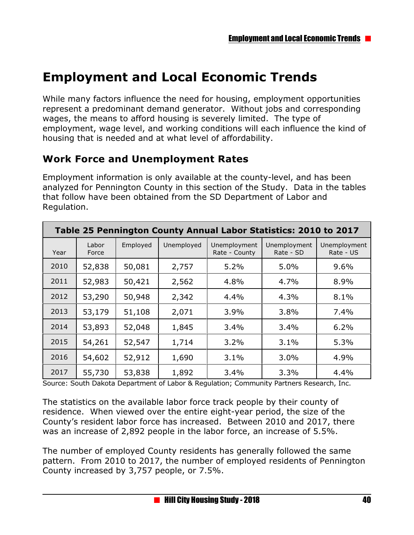# **Employment and Local Economic Trends**

While many factors influence the need for housing, employment opportunities represent a predominant demand generator. Without jobs and corresponding wages, the means to afford housing is severely limited. The type of employment, wage level, and working conditions will each influence the kind of housing that is needed and at what level of affordability.

# **Work Force and Unemployment Rates**

Employment information is only available at the county-level, and has been analyzed for Pennington County in this section of the Study. Data in the tables that follow have been obtained from the SD Department of Labor and Regulation.

| Table 25 Pennington County Annual Labor Statistics: 2010 to 2017 |                |          |            |                               |                           |                           |
|------------------------------------------------------------------|----------------|----------|------------|-------------------------------|---------------------------|---------------------------|
| Year                                                             | Labor<br>Force | Employed | Unemployed | Unemployment<br>Rate - County | Unemployment<br>Rate - SD | Unemployment<br>Rate - US |
| 2010                                                             | 52,838         | 50,081   | 2,757      | 5.2%                          | 5.0%                      | 9.6%                      |
| 2011                                                             | 52,983         | 50,421   | 2,562      | 4.8%                          | 4.7%                      | 8.9%                      |
| 2012                                                             | 53,290         | 50,948   | 2,342      | 4.4%                          | 4.3%                      | 8.1%                      |
| 2013                                                             | 53,179         | 51,108   | 2,071      | 3.9%                          | 3.8%                      | 7.4%                      |
| 2014                                                             | 53,893         | 52,048   | 1,845      | 3.4%                          | 3.4%                      | 6.2%                      |
| 2015                                                             | 54,261         | 52,547   | 1,714      | 3.2%                          | 3.1%                      | 5.3%                      |
| 2016                                                             | 54,602         | 52,912   | 1,690      | 3.1%                          | 3.0%                      | 4.9%                      |
| 2017                                                             | 55,730         | 53,838   | 1,892      | 3.4%                          | 3.3%                      | 4.4%                      |

Source: South Dakota Department of Labor & Regulation; Community Partners Research, Inc.

The statistics on the available labor force track people by their county of residence. When viewed over the entire eight-year period, the size of the County's resident labor force has increased. Between 2010 and 2017, there was an increase of 2,892 people in the labor force, an increase of 5.5%.

The number of employed County residents has generally followed the same pattern. From 2010 to 2017, the number of employed residents of Pennington County increased by 3,757 people, or 7.5%.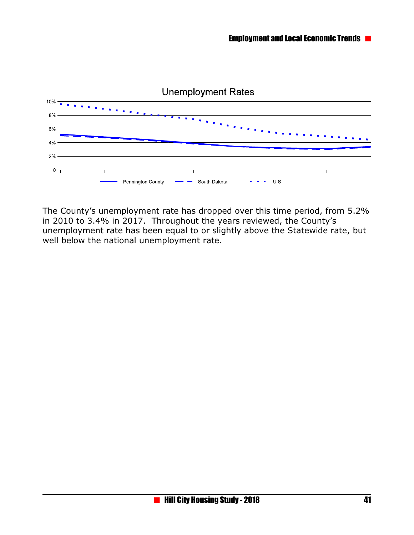

The County's unemployment rate has dropped over this time period, from 5.2% in 2010 to 3.4% in 2017. Throughout the years reviewed, the County's unemployment rate has been equal to or slightly above the Statewide rate, but well below the national unemployment rate.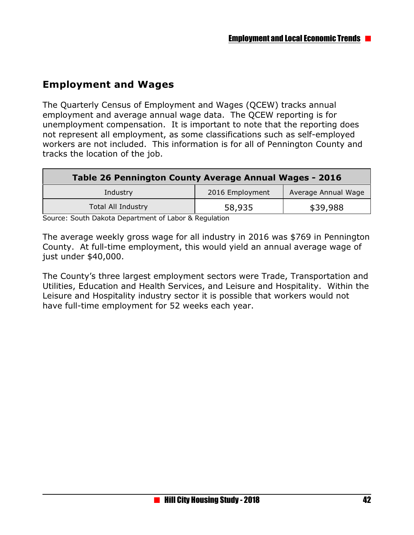# **Employment and Wages**

The Quarterly Census of Employment and Wages (QCEW) tracks annual employment and average annual wage data. The QCEW reporting is for unemployment compensation. It is important to note that the reporting does not represent all employment, as some classifications such as self-employed workers are not included. This information is for all of Pennington County and tracks the location of the job.

| Table 26 Pennington County Average Annual Wages - 2016 |                 |                     |  |  |
|--------------------------------------------------------|-----------------|---------------------|--|--|
| Industry                                               | 2016 Employment | Average Annual Wage |  |  |
| <b>Total All Industry</b>                              | 58,935          | \$39,988            |  |  |

Source: South Dakota Department of Labor & Regulation

The average weekly gross wage for all industry in 2016 was \$769 in Pennington County. At full-time employment, this would yield an annual average wage of just under \$40,000.

The County's three largest employment sectors were Trade, Transportation and Utilities, Education and Health Services, and Leisure and Hospitality. Within the Leisure and Hospitality industry sector it is possible that workers would not have full-time employment for 52 weeks each year.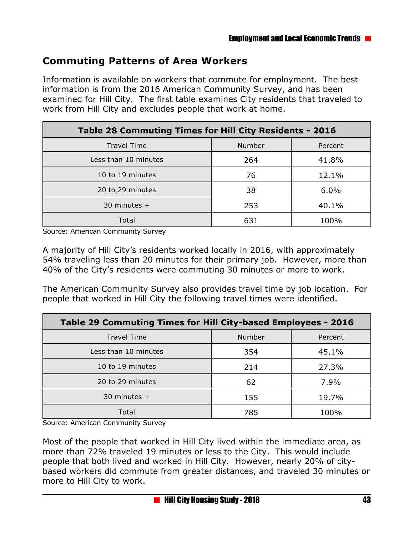# **Commuting Patterns of Area Workers**

Information is available on workers that commute for employment. The best information is from the 2016 American Community Survey, and has been examined for Hill City. The first table examines City residents that traveled to work from Hill City and excludes people that work at home.

| Table 28 Commuting Times for Hill City Residents - 2016 |        |         |  |  |
|---------------------------------------------------------|--------|---------|--|--|
| <b>Travel Time</b>                                      | Number | Percent |  |  |
| Less than 10 minutes                                    | 264    | 41.8%   |  |  |
| 10 to 19 minutes                                        | 76     | 12.1%   |  |  |
| 20 to 29 minutes                                        | 38     | 6.0%    |  |  |
| 30 minutes $+$                                          | 253    | 40.1%   |  |  |
| Total                                                   | 631    | 100%    |  |  |

Source: American Community Survey

A majority of Hill City's residents worked locally in 2016, with approximately 54% traveling less than 20 minutes for their primary job. However, more than 40% of the City's residents were commuting 30 minutes or more to work.

The American Community Survey also provides travel time by job location. For people that worked in Hill City the following travel times were identified.

| Table 29 Commuting Times for Hill City-based Employees - 2016 |        |         |  |  |
|---------------------------------------------------------------|--------|---------|--|--|
| <b>Travel Time</b>                                            | Number | Percent |  |  |
| Less than 10 minutes                                          | 354    | 45.1%   |  |  |
| 10 to 19 minutes                                              | 214    | 27.3%   |  |  |
| 20 to 29 minutes                                              | 62     | 7.9%    |  |  |
| 30 minutes $+$                                                | 155    | 19.7%   |  |  |
| Total                                                         | 785    | 100%    |  |  |

Source: American Community Survey

Most of the people that worked in Hill City lived within the immediate area, as more than 72% traveled 19 minutes or less to the City. This would include people that both lived and worked in Hill City. However, nearly 20% of citybased workers did commute from greater distances, and traveled 30 minutes or more to Hill City to work.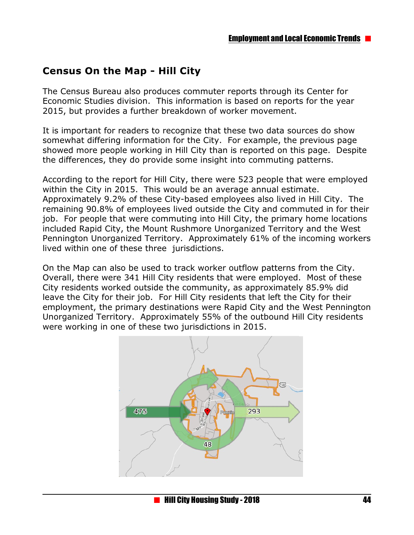# **Census On the Map - Hill City**

The Census Bureau also produces commuter reports through its Center for Economic Studies division. This information is based on reports for the year 2015, but provides a further breakdown of worker movement.

It is important for readers to recognize that these two data sources do show somewhat differing information for the City. For example, the previous page showed more people working in Hill City than is reported on this page. Despite the differences, they do provide some insight into commuting patterns.

According to the report for Hill City, there were 523 people that were employed within the City in 2015. This would be an average annual estimate. Approximately 9.2% of these City-based employees also lived in Hill City. The remaining 90.8% of employees lived outside the City and commuted in for their job. For people that were commuting into Hill City, the primary home locations included Rapid City, the Mount Rushmore Unorganized Territory and the West Pennington Unorganized Territory. Approximately 61% of the incoming workers lived within one of these three jurisdictions.

On the Map can also be used to track worker outflow patterns from the City. Overall, there were 341 Hill City residents that were employed. Most of these City residents worked outside the community, as approximately 85.9% did leave the City for their job. For Hill City residents that left the City for their employment, the primary destinations were Rapid City and the West Pennington Unorganized Territory. Approximately 55% of the outbound Hill City residents were working in one of these two jurisdictions in 2015.

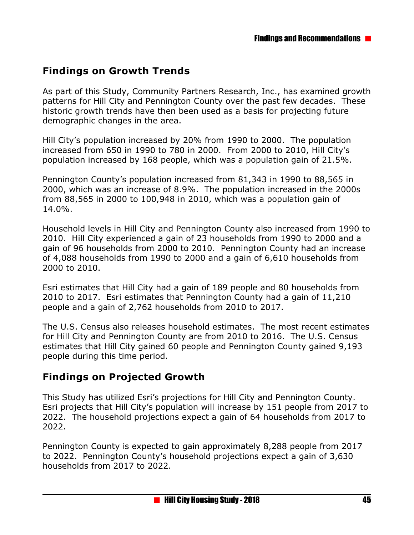# **Findings on Growth Trends**

As part of this Study, Community Partners Research, Inc., has examined growth patterns for Hill City and Pennington County over the past few decades. These historic growth trends have then been used as a basis for projecting future demographic changes in the area.

Hill City's population increased by 20% from 1990 to 2000. The population increased from 650 in 1990 to 780 in 2000. From 2000 to 2010, Hill City's population increased by 168 people, which was a population gain of 21.5%.

Pennington County's population increased from 81,343 in 1990 to 88,565 in 2000, which was an increase of 8.9%. The population increased in the 2000s from 88,565 in 2000 to 100,948 in 2010, which was a population gain of 14.0%.

Household levels in Hill City and Pennington County also increased from 1990 to 2010. Hill City experienced a gain of 23 households from 1990 to 2000 and a gain of 96 households from 2000 to 2010. Pennington County had an increase of 4,088 households from 1990 to 2000 and a gain of 6,610 households from 2000 to 2010.

Esri estimates that Hill City had a gain of 189 people and 80 households from 2010 to 2017. Esri estimates that Pennington County had a gain of 11,210 people and a gain of 2,762 households from 2010 to 2017.

The U.S. Census also releases household estimates. The most recent estimates for Hill City and Pennington County are from 2010 to 2016. The U.S. Census estimates that Hill City gained 60 people and Pennington County gained 9,193 people during this time period.

### **Findings on Projected Growth**

This Study has utilized Esri's projections for Hill City and Pennington County. Esri projects that Hill City's population will increase by 151 people from 2017 to 2022. The household projections expect a gain of 64 households from 2017 to 2022.

Pennington County is expected to gain approximately 8,288 people from 2017 to 2022. Pennington County's household projections expect a gain of 3,630 households from 2017 to 2022.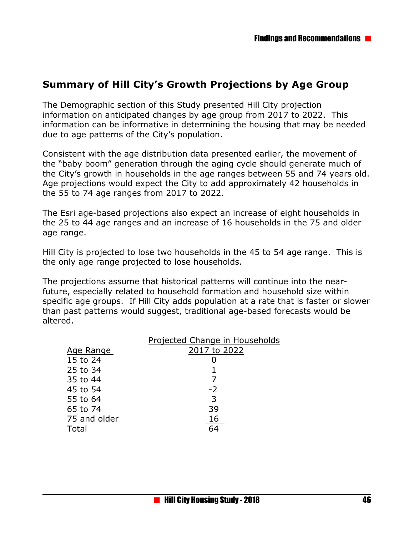## **Summary of Hill City's Growth Projections by Age Group**

The Demographic section of this Study presented Hill City projection information on anticipated changes by age group from 2017 to 2022. This information can be informative in determining the housing that may be needed due to age patterns of the City's population.

Consistent with the age distribution data presented earlier, the movement of the "baby boom" generation through the aging cycle should generate much of the City's growth in households in the age ranges between 55 and 74 years old. Age projections would expect the City to add approximately 42 households in the 55 to 74 age ranges from 2017 to 2022.

The Esri age-based projections also expect an increase of eight households in the 25 to 44 age ranges and an increase of 16 households in the 75 and older age range.

Hill City is projected to lose two households in the 45 to 54 age range. This is the only age range projected to lose households.

The projections assume that historical patterns will continue into the nearfuture, especially related to household formation and household size within specific age groups. If Hill City adds population at a rate that is faster or slower than past patterns would suggest, traditional age-based forecasts would be altered.

|              | Projected Change in Households |
|--------------|--------------------------------|
| Age Range    | 2017 to 2022                   |
| 15 to 24     |                                |
| 25 to 34     |                                |
| 35 to 44     |                                |
| 45 to 54     | $-2$                           |
| 55 to 64     | 3                              |
| 65 to 74     | 39                             |
| 75 and older | 16                             |
| Total        | 64                             |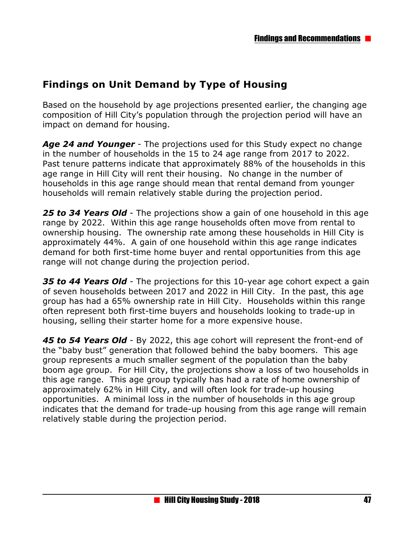# **Findings on Unit Demand by Type of Housing**

Based on the household by age projections presented earlier, the changing age composition of Hill City's population through the projection period will have an impact on demand for housing.

*Age 24 and Younger* - The projections used for this Study expect no change in the number of households in the 15 to 24 age range from 2017 to 2022. Past tenure patterns indicate that approximately 88% of the households in this age range in Hill City will rent their housing. No change in the number of households in this age range should mean that rental demand from younger households will remain relatively stable during the projection period.

*25 to 34 Years Old* - The projections show a gain of one household in this age range by 2022. Within this age range households often move from rental to ownership housing. The ownership rate among these households in Hill City is approximately 44%. A gain of one household within this age range indicates demand for both first-time home buyer and rental opportunities from this age range will not change during the projection period.

*35 to 44 Years Old* - The projections for this 10-year age cohort expect a gain of seven households between 2017 and 2022 in Hill City. In the past, this age group has had a 65% ownership rate in Hill City. Households within this range often represent both first-time buyers and households looking to trade-up in housing, selling their starter home for a more expensive house.

*45 to 54 Years Old* - By 2022, this age cohort will represent the front-end of the "baby bust" generation that followed behind the baby boomers. This age group represents a much smaller segment of the population than the baby boom age group. For Hill City, the projections show a loss of two households in this age range. This age group typically has had a rate of home ownership of approximately 62% in Hill City, and will often look for trade-up housing opportunities. A minimal loss in the number of households in this age group indicates that the demand for trade-up housing from this age range will remain relatively stable during the projection period.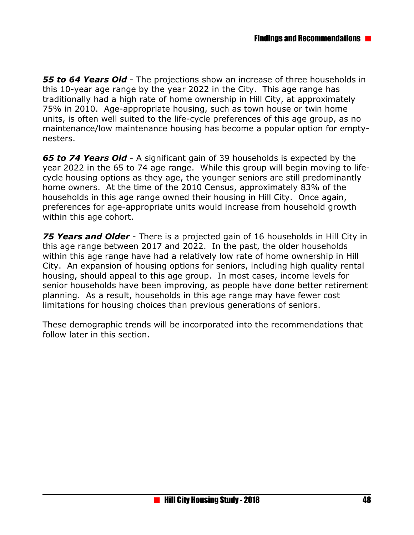*55 to 64 Years Old* - The projections show an increase of three households in this 10-year age range by the year 2022 in the City. This age range has traditionally had a high rate of home ownership in Hill City, at approximately 75% in 2010. Age-appropriate housing, such as town house or twin home units, is often well suited to the life-cycle preferences of this age group, as no maintenance/low maintenance housing has become a popular option for emptynesters.

*65 to 74 Years Old* - A significant gain of 39 households is expected by the year 2022 in the 65 to 74 age range. While this group will begin moving to lifecycle housing options as they age, the younger seniors are still predominantly home owners. At the time of the 2010 Census, approximately 83% of the households in this age range owned their housing in Hill City. Once again, preferences for age-appropriate units would increase from household growth within this age cohort.

*75 Years and Older* - There is a projected gain of 16 households in Hill City in this age range between 2017 and 2022. In the past, the older households within this age range have had a relatively low rate of home ownership in Hill City. An expansion of housing options for seniors, including high quality rental housing, should appeal to this age group. In most cases, income levels for senior households have been improving, as people have done better retirement planning. As a result, households in this age range may have fewer cost limitations for housing choices than previous generations of seniors.

These demographic trends will be incorporated into the recommendations that follow later in this section.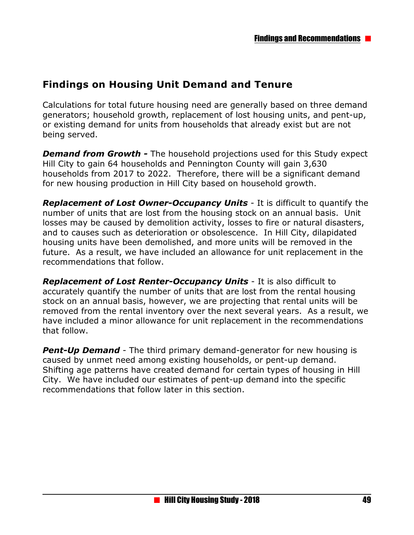### **Findings on Housing Unit Demand and Tenure**

Calculations for total future housing need are generally based on three demand generators; household growth, replacement of lost housing units, and pent-up, or existing demand for units from households that already exist but are not being served.

*Demand from Growth -* The household projections used for this Study expect Hill City to gain 64 households and Pennington County will gain 3,630 households from 2017 to 2022. Therefore, there will be a significant demand for new housing production in Hill City based on household growth.

*Replacement of Lost Owner-Occupancy Units* - It is difficult to quantify the number of units that are lost from the housing stock on an annual basis. Unit losses may be caused by demolition activity, losses to fire or natural disasters, and to causes such as deterioration or obsolescence. In Hill City, dilapidated housing units have been demolished, and more units will be removed in the future. As a result, we have included an allowance for unit replacement in the recommendations that follow.

*Replacement of Lost Renter-Occupancy Units* - It is also difficult to accurately quantify the number of units that are lost from the rental housing stock on an annual basis, however, we are projecting that rental units will be removed from the rental inventory over the next several years. As a result, we have included a minor allowance for unit replacement in the recommendations that follow.

**Pent-Up Demand** - The third primary demand-generator for new housing is caused by unmet need among existing households, or pent-up demand. Shifting age patterns have created demand for certain types of housing in Hill City. We have included our estimates of pent-up demand into the specific recommendations that follow later in this section.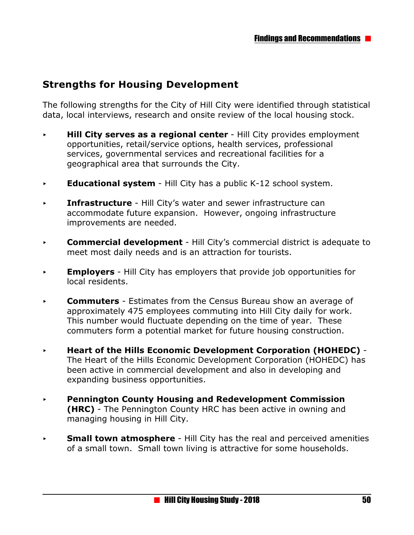## **Strengths for Housing Development**

The following strengths for the City of Hill City were identified through statistical data, local interviews, research and onsite review of the local housing stock.

- **Hill City serves as a regional center** Hill City provides employment opportunities, retail/service options, health services, professional services, governmental services and recreational facilities for a geographical area that surrounds the City.
- **Educational system** Hill City has a public K-12 school system.
- **Fig. Infrastructure** Hill City's water and sewer infrastructure can accommodate future expansion. However, ongoing infrastructure improvements are needed.
- **Commercial development** Hill City's commercial district is adequate to meet most daily needs and is an attraction for tourists.
- **Employers** Hill City has employers that provide job opportunities for local residents.
- **Commuters** Estimates from the Census Bureau show an average of approximately 475 employees commuting into Hill City daily for work. This number would fluctuate depending on the time of year. These commuters form a potential market for future housing construction.
- < **Heart of the Hills Economic Development Corporation (HOHEDC)**  The Heart of the Hills Economic Development Corporation (HOHEDC) has been active in commercial development and also in developing and expanding business opportunities.
- < **Pennington County Housing and Redevelopment Commission (HRC)** - The Pennington County HRC has been active in owning and managing housing in Hill City.
- **Small town atmosphere** Hill City has the real and perceived amenities of a small town. Small town living is attractive for some households.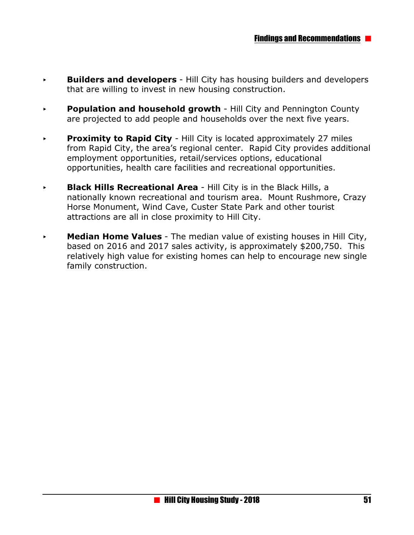- **Builders and developers** Hill City has housing builders and developers that are willing to invest in new housing construction.
- **Population and household growth** Hill City and Pennington County are projected to add people and households over the next five years.
- **Proximity to Rapid City Hill City is located approximately 27 miles** from Rapid City, the area's regional center. Rapid City provides additional employment opportunities, retail/services options, educational opportunities, health care facilities and recreational opportunities.
- **Black Hills Recreational Area** Hill City is in the Black Hills, a nationally known recreational and tourism area. Mount Rushmore, Crazy Horse Monument, Wind Cave, Custer State Park and other tourist attractions are all in close proximity to Hill City.
- **Median Home Values** The median value of existing houses in Hill City, based on 2016 and 2017 sales activity, is approximately \$200,750. This relatively high value for existing homes can help to encourage new single family construction.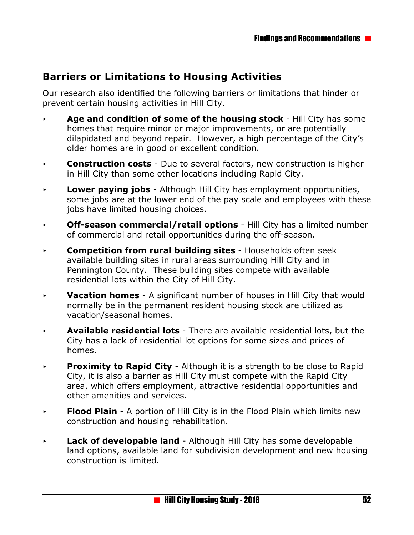# **Barriers or Limitations to Housing Activities**

Our research also identified the following barriers or limitations that hinder or prevent certain housing activities in Hill City.

- **Age and condition of some of the housing stock** Hill City has some homes that require minor or major improvements, or are potentially dilapidated and beyond repair. However, a high percentage of the City's older homes are in good or excellent condition.
- **Construction costs** Due to several factors, new construction is higher in Hill City than some other locations including Rapid City.
- < **Lower paying jobs**  Although Hill City has employment opportunities, some jobs are at the lower end of the pay scale and employees with these jobs have limited housing choices.
- **Off-season commercial/retail options** Hill City has a limited number of commercial and retail opportunities during the off-season.
- **Competition from rural building sites** Households often seek available building sites in rural areas surrounding Hill City and in Pennington County. These building sites compete with available residential lots within the City of Hill City.
- < **Vacation homes**  A significant number of houses in Hill City that would normally be in the permanent resident housing stock are utilized as vacation/seasonal homes.
- < **Available residential lots**  There are available residential lots, but the City has a lack of residential lot options for some sizes and prices of homes.
- **Proximity to Rapid City** Although it is a strength to be close to Rapid City, it is also a barrier as Hill City must compete with the Rapid City area, which offers employment, attractive residential opportunities and other amenities and services.
- **Flood Plain** A portion of Hill City is in the Flood Plain which limits new construction and housing rehabilitation.
- **Lack of developable land** Although Hill City has some developable land options, available land for subdivision development and new housing construction is limited.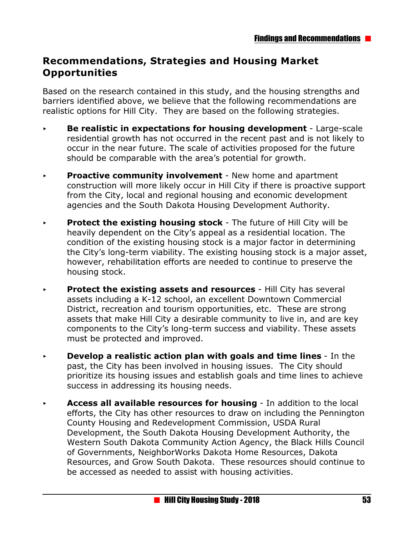## **Recommendations, Strategies and Housing Market Opportunities**

Based on the research contained in this study, and the housing strengths and barriers identified above, we believe that the following recommendations are realistic options for Hill City. They are based on the following strategies.

- **Be realistic in expectations for housing development** Large-scale residential growth has not occurred in the recent past and is not likely to occur in the near future. The scale of activities proposed for the future should be comparable with the area's potential for growth.
- **Proactive community involvement** New home and apartment construction will more likely occur in Hill City if there is proactive support from the City, local and regional housing and economic development agencies and the South Dakota Housing Development Authority.
- **Protect the existing housing stock The future of Hill City will be** heavily dependent on the City's appeal as a residential location. The condition of the existing housing stock is a major factor in determining the City's long-term viability. The existing housing stock is a major asset, however, rehabilitation efforts are needed to continue to preserve the housing stock.
- **Protect the existing assets and resources** Hill City has several assets including a K-12 school, an excellent Downtown Commercial District, recreation and tourism opportunities, etc. These are strong assets that make Hill City a desirable community to live in, and are key components to the City's long-term success and viability. These assets must be protected and improved.
- **Develop a realistic action plan with goals and time lines In the** past, the City has been involved in housing issues. The City should prioritize its housing issues and establish goals and time lines to achieve success in addressing its housing needs.
- **Access all available resources for housing** In addition to the local efforts, the City has other resources to draw on including the Pennington County Housing and Redevelopment Commission, USDA Rural Development, the South Dakota Housing Development Authority, the Western South Dakota Community Action Agency, the Black Hills Council of Governments, NeighborWorks Dakota Home Resources, Dakota Resources, and Grow South Dakota. These resources should continue to be accessed as needed to assist with housing activities.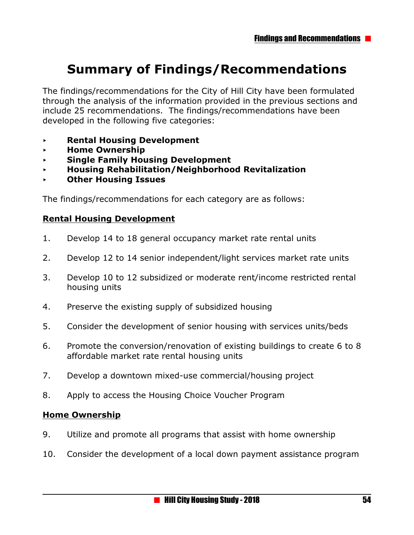# **Summary of Findings/Recommendations**

The findings/recommendations for the City of Hill City have been formulated through the analysis of the information provided in the previous sections and include 25 recommendations. The findings/recommendations have been developed in the following five categories:

- < **Rental Housing Development**
- < **Home Ownership**
- < **Single Family Housing Development**
- < **Housing Rehabilitation/Neighborhood Revitalization**
- < **Other Housing Issues**

The findings/recommendations for each category are as follows:

#### **Rental Housing Development**

- 1. Develop 14 to 18 general occupancy market rate rental units
- 2. Develop 12 to 14 senior independent/light services market rate units
- 3. Develop 10 to 12 subsidized or moderate rent/income restricted rental housing units
- 4. Preserve the existing supply of subsidized housing
- 5. Consider the development of senior housing with services units/beds
- 6. Promote the conversion/renovation of existing buildings to create 6 to 8 affordable market rate rental housing units
- 7. Develop a downtown mixed-use commercial/housing project
- 8. Apply to access the Housing Choice Voucher Program

#### **Home Ownership**

- 9. Utilize and promote all programs that assist with home ownership
- 10. Consider the development of a local down payment assistance program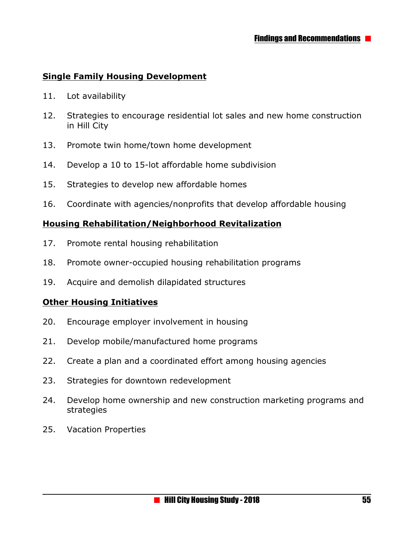#### **Single Family Housing Development**

- 11. Lot availability
- 12. Strategies to encourage residential lot sales and new home construction in Hill City
- 13. Promote twin home/town home development
- 14. Develop a 10 to 15-lot affordable home subdivision
- 15. Strategies to develop new affordable homes
- 16. Coordinate with agencies/nonprofits that develop affordable housing

#### **Housing Rehabilitation/Neighborhood Revitalization**

- 17. Promote rental housing rehabilitation
- 18. Promote owner-occupied housing rehabilitation programs
- 19. Acquire and demolish dilapidated structures

#### **Other Housing Initiatives**

- 20. Encourage employer involvement in housing
- 21. Develop mobile/manufactured home programs
- 22. Create a plan and a coordinated effort among housing agencies
- 23. Strategies for downtown redevelopment
- 24. Develop home ownership and new construction marketing programs and strategies
- 25. Vacation Properties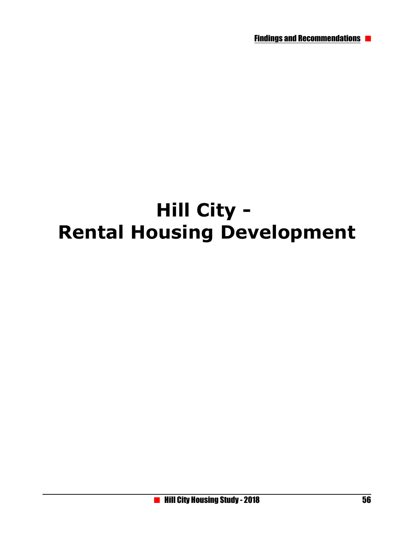# **Hill City - Rental Housing Development**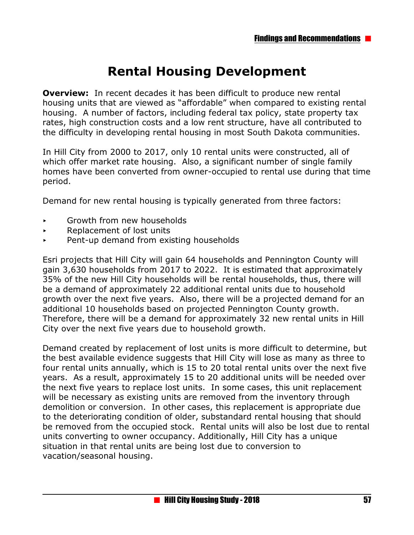# **Rental Housing Development**

**Overview:** In recent decades it has been difficult to produce new rental housing units that are viewed as "affordable" when compared to existing rental housing. A number of factors, including federal tax policy, state property tax rates, high construction costs and a low rent structure, have all contributed to the difficulty in developing rental housing in most South Dakota communities.

In Hill City from 2000 to 2017, only 10 rental units were constructed, all of which offer market rate housing. Also, a significant number of single family homes have been converted from owner-occupied to rental use during that time period.

Demand for new rental housing is typically generated from three factors:

- < Growth from new households
- < Replacement of lost units
- $\rightarrow$  Pent-up demand from existing households

Esri projects that Hill City will gain 64 households and Pennington County will gain 3,630 households from 2017 to 2022. It is estimated that approximately 35% of the new Hill City households will be rental households, thus, there will be a demand of approximately 22 additional rental units due to household growth over the next five years. Also, there will be a projected demand for an additional 10 households based on projected Pennington County growth. Therefore, there will be a demand for approximately 32 new rental units in Hill City over the next five years due to household growth.

Demand created by replacement of lost units is more difficult to determine, but the best available evidence suggests that Hill City will lose as many as three to four rental units annually, which is 15 to 20 total rental units over the next five years. As a result, approximately 15 to 20 additional units will be needed over the next five years to replace lost units. In some cases, this unit replacement will be necessary as existing units are removed from the inventory through demolition or conversion. In other cases, this replacement is appropriate due to the deteriorating condition of older, substandard rental housing that should be removed from the occupied stock. Rental units will also be lost due to rental units converting to owner occupancy. Additionally, Hill City has a unique situation in that rental units are being lost due to conversion to vacation/seasonal housing.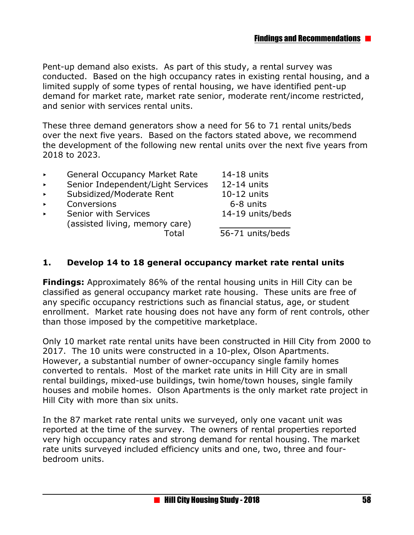Pent-up demand also exists. As part of this study, a rental survey was conducted. Based on the high occupancy rates in existing rental housing, and a limited supply of some types of rental housing, we have identified pent-up demand for market rate, market rate senior, moderate rent/income restricted, and senior with services rental units.

These three demand generators show a need for 56 to 71 rental units/beds over the next five years. Based on the factors stated above, we recommend the development of the following new rental units over the next five years from 2018 to 2023.

- ▶ General Occupancy Market Rate 14-18 units
- ▶ Senior Independent/Light Services 12-14 units
- Subsidized/Moderate Rent 10-12 units
- ▶ Conversions 6-8 units
- Senior with Services 14-19 units/beds (assisted living, memory care)

Total 56-71 units/beds

#### **1. Develop 14 to 18 general occupancy market rate rental units**

**Findings:** Approximately 86% of the rental housing units in Hill City can be classified as general occupancy market rate housing. These units are free of any specific occupancy restrictions such as financial status, age, or student enrollment. Market rate housing does not have any form of rent controls, other than those imposed by the competitive marketplace.

Only 10 market rate rental units have been constructed in Hill City from 2000 to 2017. The 10 units were constructed in a 10-plex, Olson Apartments. However, a substantial number of owner-occupancy single family homes converted to rentals. Most of the market rate units in Hill City are in small rental buildings, mixed-use buildings, twin home/town houses, single family houses and mobile homes. Olson Apartments is the only market rate project in Hill City with more than six units.

In the 87 market rate rental units we surveyed, only one vacant unit was reported at the time of the survey. The owners of rental properties reported very high occupancy rates and strong demand for rental housing. The market rate units surveyed included efficiency units and one, two, three and fourbedroom units.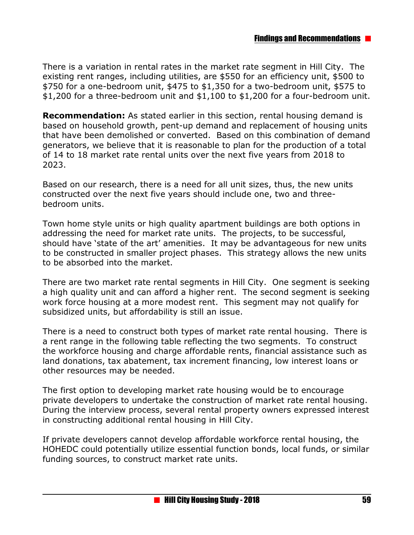There is a variation in rental rates in the market rate segment in Hill City. The existing rent ranges, including utilities, are \$550 for an efficiency unit, \$500 to \$750 for a one-bedroom unit, \$475 to \$1,350 for a two-bedroom unit, \$575 to \$1,200 for a three-bedroom unit and \$1,100 to \$1,200 for a four-bedroom unit.

**Recommendation:** As stated earlier in this section, rental housing demand is based on household growth, pent-up demand and replacement of housing units that have been demolished or converted. Based on this combination of demand generators, we believe that it is reasonable to plan for the production of a total of 14 to 18 market rate rental units over the next five years from 2018 to 2023.

Based on our research, there is a need for all unit sizes, thus, the new units constructed over the next five years should include one, two and threebedroom units.

Town home style units or high quality apartment buildings are both options in addressing the need for market rate units. The projects, to be successful, should have 'state of the art' amenities. It may be advantageous for new units to be constructed in smaller project phases. This strategy allows the new units to be absorbed into the market.

There are two market rate rental segments in Hill City. One segment is seeking a high quality unit and can afford a higher rent. The second segment is seeking work force housing at a more modest rent. This segment may not qualify for subsidized units, but affordability is still an issue.

There is a need to construct both types of market rate rental housing. There is a rent range in the following table reflecting the two segments. To construct the workforce housing and charge affordable rents, financial assistance such as land donations, tax abatement, tax increment financing, low interest loans or other resources may be needed.

The first option to developing market rate housing would be to encourage private developers to undertake the construction of market rate rental housing. During the interview process, several rental property owners expressed interest in constructing additional rental housing in Hill City.

If private developers cannot develop affordable workforce rental housing, the HOHEDC could potentially utilize essential function bonds, local funds, or similar funding sources, to construct market rate units.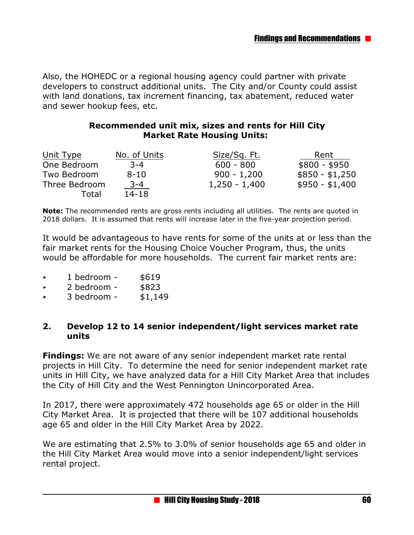Also, the HOHEDC or a regional housing agency could partner with private developers to construct additional units. The City and/or County could assist with land donations, tax increment financing, tax abatement, reduced water and sewer hookup fees, etc.

#### **Recommended unit mix, sizes and rents for Hill City Market Rate Housing Units:**

| Unit Type     | No. of Units | Size/Sq. Ft.    | Rent            |
|---------------|--------------|-----------------|-----------------|
| One Bedroom   | $3 - 4$      | $600 - 800$     | $$800 - $950$   |
| Two Bedroom   | $8 - 10$     | $900 - 1,200$   | $$850 - $1,250$ |
| Three Bedroom | $3 - 4$      | $1,250 - 1,400$ | $$950 - $1,400$ |
| Total         | $14 - 18$    |                 |                 |

**Note:** The recommended rents are gross rents including all utilities. The rents are quoted in 2018 dollars. It is assumed that rents will increase later in the five-year projection period.

It would be advantageous to have rents for some of the units at or less than the fair market rents for the Housing Choice Voucher Program, thus, the units would be affordable for more households. The current fair market rents are:

- $\cdot$  1 bedroom \$619
- < 2 bedroom \$823
- $\rightarrow$  3 bedroom \$1,149

#### **2. Develop 12 to 14 senior independent/light services market rate units**

**Findings:** We are not aware of any senior independent market rate rental projects in Hill City. To determine the need for senior independent market rate units in Hill City, we have analyzed data for a Hill City Market Area that includes the City of Hill City and the West Pennington Unincorporated Area.

In 2017, there were approximately 472 households age 65 or older in the Hill City Market Area. It is projected that there will be 107 additional households age 65 and older in the Hill City Market Area by 2022.

We are estimating that 2.5% to 3.0% of senior households age 65 and older in the Hill City Market Area would move into a senior independent/light services rental project.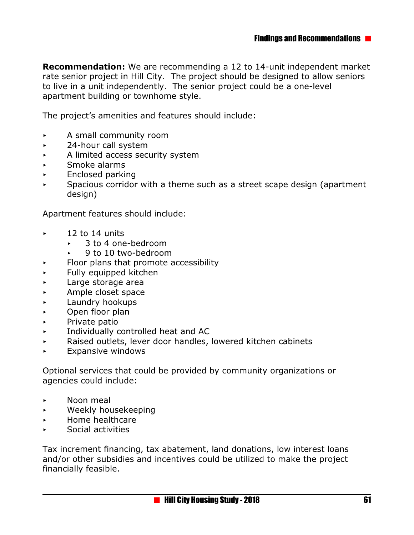**Recommendation:** We are recommending a 12 to 14-unit independent market rate senior project in Hill City. The project should be designed to allow seniors to live in a unit independently. The senior project could be a one-level apartment building or townhome style.

The project's amenities and features should include:

- $\triangleright$  A small community room
- **Example 24-hour call system**
- $\triangleright$  A limited access security system
- < Smoke alarms
- **Enclosed parking**
- $\triangleright$  Spacious corridor with a theme such as a street scape design (apartment design)

Apartment features should include:

- $\sim$  12 to 14 units
	- ► 3 to 4 one-bedroom
	- $\rightarrow$  9 to 10 two-bedroom
- $\triangleright$  Floor plans that promote accessibility
- $\blacktriangleright$  Fully equipped kitchen
- **EXECUTE:** Large storage area
- **Example closet space**
- **Example 2** Laundry hookups
- **Den floor plan**
- $\triangleright$  Private patio
- < Individually controlled heat and AC
- $\triangleright$  Raised outlets, lever door handles, lowered kitchen cabinets
- $\blacktriangleright$  Expansive windows

Optional services that could be provided by community organizations or agencies could include:

- **Example 2** Noon meal
- < Weekly housekeeping
- < Home healthcare
- < Social activities

Tax increment financing, tax abatement, land donations, low interest loans and/or other subsidies and incentives could be utilized to make the project financially feasible.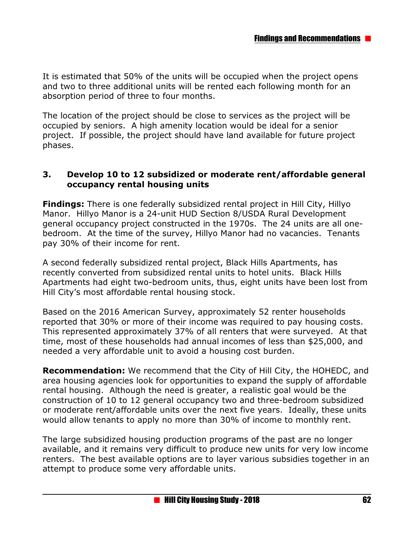It is estimated that 50% of the units will be occupied when the project opens and two to three additional units will be rented each following month for an absorption period of three to four months.

The location of the project should be close to services as the project will be occupied by seniors. A high amenity location would be ideal for a senior project. If possible, the project should have land available for future project phases.

#### **3. Develop 10 to 12 subsidized or moderate rent/affordable general occupancy rental housing units**

**Findings:** There is one federally subsidized rental project in Hill City, Hillyo Manor. Hillyo Manor is a 24-unit HUD Section 8/USDA Rural Development general occupancy project constructed in the 1970s. The 24 units are all onebedroom. At the time of the survey, Hillyo Manor had no vacancies. Tenants pay 30% of their income for rent.

A second federally subsidized rental project, Black Hills Apartments, has recently converted from subsidized rental units to hotel units. Black Hills Apartments had eight two-bedroom units, thus, eight units have been lost from Hill City's most affordable rental housing stock.

Based on the 2016 American Survey, approximately 52 renter households reported that 30% or more of their income was required to pay housing costs. This represented approximately 37% of all renters that were surveyed. At that time, most of these households had annual incomes of less than \$25,000, and needed a very affordable unit to avoid a housing cost burden.

**Recommendation:** We recommend that the City of Hill City, the HOHEDC, and area housing agencies look for opportunities to expand the supply of affordable rental housing. Although the need is greater, a realistic goal would be the construction of 10 to 12 general occupancy two and three-bedroom subsidized or moderate rent/affordable units over the next five years. Ideally, these units would allow tenants to apply no more than 30% of income to monthly rent.

The large subsidized housing production programs of the past are no longer available, and it remains very difficult to produce new units for very low income renters. The best available options are to layer various subsidies together in an attempt to produce some very affordable units.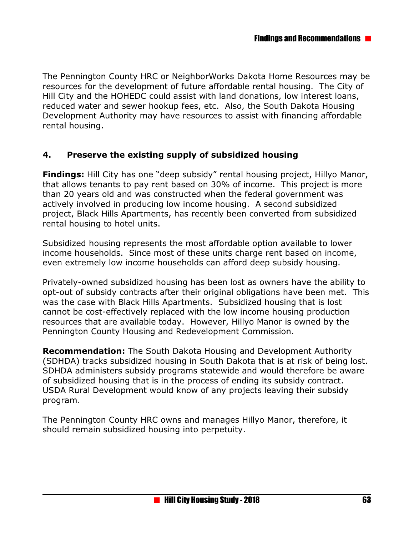The Pennington County HRC or NeighborWorks Dakota Home Resources may be resources for the development of future affordable rental housing. The City of Hill City and the HOHEDC could assist with land donations, low interest loans, reduced water and sewer hookup fees, etc. Also, the South Dakota Housing Development Authority may have resources to assist with financing affordable rental housing.

#### **4. Preserve the existing supply of subsidized housing**

**Findings:** Hill City has one "deep subsidy" rental housing project, Hillyo Manor, that allows tenants to pay rent based on 30% of income. This project is more than 20 years old and was constructed when the federal government was actively involved in producing low income housing. A second subsidized project, Black Hills Apartments, has recently been converted from subsidized rental housing to hotel units.

Subsidized housing represents the most affordable option available to lower income households. Since most of these units charge rent based on income, even extremely low income households can afford deep subsidy housing.

Privately-owned subsidized housing has been lost as owners have the ability to opt-out of subsidy contracts after their original obligations have been met. This was the case with Black Hills Apartments. Subsidized housing that is lost cannot be cost-effectively replaced with the low income housing production resources that are available today. However, Hillyo Manor is owned by the Pennington County Housing and Redevelopment Commission.

**Recommendation:** The South Dakota Housing and Development Authority (SDHDA) tracks subsidized housing in South Dakota that is at risk of being lost. SDHDA administers subsidy programs statewide and would therefore be aware of subsidized housing that is in the process of ending its subsidy contract. USDA Rural Development would know of any projects leaving their subsidy program.

The Pennington County HRC owns and manages Hillyo Manor, therefore, it should remain subsidized housing into perpetuity.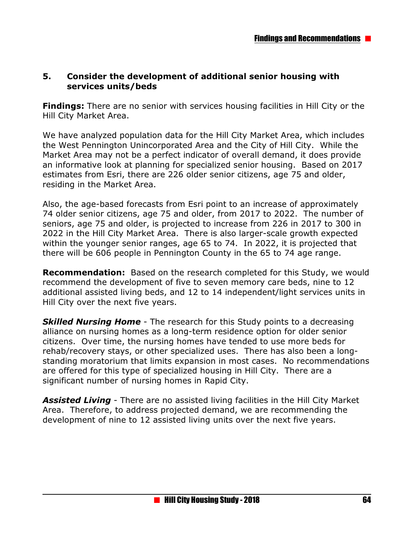#### **5. Consider the development of additional senior housing with services units/beds**

**Findings:** There are no senior with services housing facilities in Hill City or the Hill City Market Area.

We have analyzed population data for the Hill City Market Area, which includes the West Pennington Unincorporated Area and the City of Hill City. While the Market Area may not be a perfect indicator of overall demand, it does provide an informative look at planning for specialized senior housing. Based on 2017 estimates from Esri, there are 226 older senior citizens, age 75 and older, residing in the Market Area.

Also, the age-based forecasts from Esri point to an increase of approximately 74 older senior citizens, age 75 and older, from 2017 to 2022. The number of seniors, age 75 and older, is projected to increase from 226 in 2017 to 300 in 2022 in the Hill City Market Area. There is also larger-scale growth expected within the younger senior ranges, age 65 to 74. In 2022, it is projected that there will be 606 people in Pennington County in the 65 to 74 age range.

**Recommendation:** Based on the research completed for this Study, we would recommend the development of five to seven memory care beds, nine to 12 additional assisted living beds, and 12 to 14 independent/light services units in Hill City over the next five years.

**Skilled Nursing Home** - The research for this Study points to a decreasing alliance on nursing homes as a long-term residence option for older senior citizens. Over time, the nursing homes have tended to use more beds for rehab/recovery stays, or other specialized uses. There has also been a longstanding moratorium that limits expansion in most cases. No recommendations are offered for this type of specialized housing in Hill City. There are a significant number of nursing homes in Rapid City.

*Assisted Living* - There are no assisted living facilities in the Hill City Market Area. Therefore, to address projected demand, we are recommending the development of nine to 12 assisted living units over the next five years.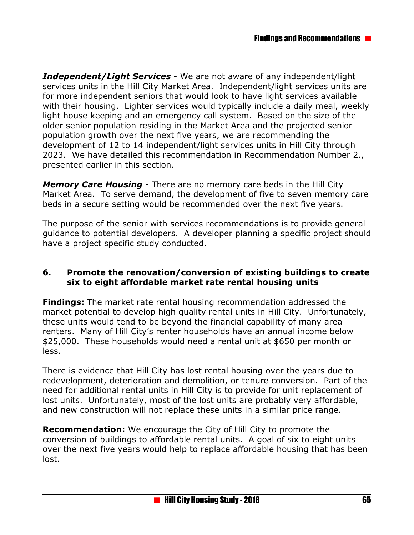*Independent/Light Services* - We are not aware of any independent/light services units in the Hill City Market Area. Independent/light services units are for more independent seniors that would look to have light services available with their housing. Lighter services would typically include a daily meal, weekly light house keeping and an emergency call system. Based on the size of the older senior population residing in the Market Area and the projected senior population growth over the next five years, we are recommending the development of 12 to 14 independent/light services units in Hill City through 2023. We have detailed this recommendation in Recommendation Number 2., presented earlier in this section.

*Memory Care Housing* - There are no memory care beds in the Hill City Market Area. To serve demand, the development of five to seven memory care beds in a secure setting would be recommended over the next five years.

The purpose of the senior with services recommendations is to provide general guidance to potential developers. A developer planning a specific project should have a project specific study conducted.

#### **6. Promote the renovation/conversion of existing buildings to create six to eight affordable market rate rental housing units**

**Findings:** The market rate rental housing recommendation addressed the market potential to develop high quality rental units in Hill City. Unfortunately, these units would tend to be beyond the financial capability of many area renters. Many of Hill City's renter households have an annual income below \$25,000. These households would need a rental unit at \$650 per month or less.

There is evidence that Hill City has lost rental housing over the years due to redevelopment, deterioration and demolition, or tenure conversion. Part of the need for additional rental units in Hill City is to provide for unit replacement of lost units. Unfortunately, most of the lost units are probably very affordable, and new construction will not replace these units in a similar price range.

**Recommendation:** We encourage the City of Hill City to promote the conversion of buildings to affordable rental units. A goal of six to eight units over the next five years would help to replace affordable housing that has been lost.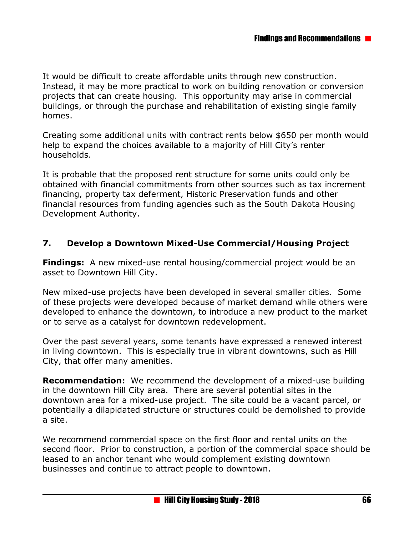It would be difficult to create affordable units through new construction. Instead, it may be more practical to work on building renovation or conversion projects that can create housing. This opportunity may arise in commercial buildings, or through the purchase and rehabilitation of existing single family homes.

Creating some additional units with contract rents below \$650 per month would help to expand the choices available to a majority of Hill City's renter households.

It is probable that the proposed rent structure for some units could only be obtained with financial commitments from other sources such as tax increment financing, property tax deferment, Historic Preservation funds and other financial resources from funding agencies such as the South Dakota Housing Development Authority.

#### **7. Develop a Downtown Mixed-Use Commercial/Housing Project**

**Findings:** A new mixed-use rental housing/commercial project would be an asset to Downtown Hill City.

New mixed-use projects have been developed in several smaller cities. Some of these projects were developed because of market demand while others were developed to enhance the downtown, to introduce a new product to the market or to serve as a catalyst for downtown redevelopment.

Over the past several years, some tenants have expressed a renewed interest in living downtown. This is especially true in vibrant downtowns, such as Hill City, that offer many amenities.

**Recommendation:** We recommend the development of a mixed-use building in the downtown Hill City area. There are several potential sites in the downtown area for a mixed-use project. The site could be a vacant parcel, or potentially a dilapidated structure or structures could be demolished to provide a site.

We recommend commercial space on the first floor and rental units on the second floor. Prior to construction, a portion of the commercial space should be leased to an anchor tenant who would complement existing downtown businesses and continue to attract people to downtown.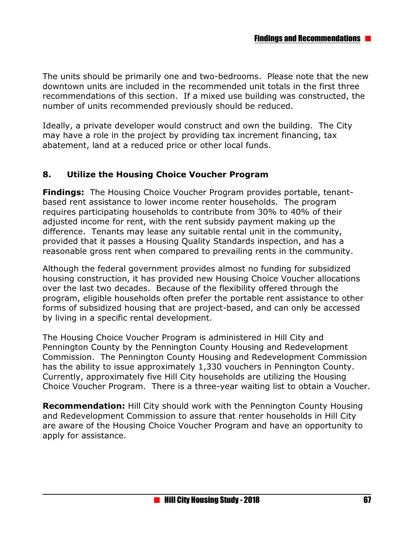The units should be primarily one and two-bedrooms. Please note that the new downtown units are included in the recommended unit totals in the first three recommendations of this section. If a mixed use building was constructed, the number of units recommended previously should be reduced.

Ideally, a private developer would construct and own the building. The City may have a role in the project by providing tax increment financing, tax abatement, land at a reduced price or other local funds.

#### **8. Utilize the Housing Choice Voucher Program**

**Findings:** The Housing Choice Voucher Program provides portable, tenantbased rent assistance to lower income renter households. The program requires participating households to contribute from 30% to 40% of their adjusted income for rent, with the rent subsidy payment making up the difference. Tenants may lease any suitable rental unit in the community, provided that it passes a Housing Quality Standards inspection, and has a reasonable gross rent when compared to prevailing rents in the community.

Although the federal government provides almost no funding for subsidized housing construction, it has provided new Housing Choice Voucher allocations over the last two decades. Because of the flexibility offered through the program, eligible households often prefer the portable rent assistance to other forms of subsidized housing that are project-based, and can only be accessed by living in a specific rental development.

The Housing Choice Voucher Program is administered in Hill City and Pennington County by the Pennington County Housing and Redevelopment Commission. The Pennington County Housing and Redevelopment Commission has the ability to issue approximately 1,330 vouchers in Pennington County. Currently, approximately five Hill City households are utilizing the Housing Choice Voucher Program. There is a three-year waiting list to obtain a Voucher.

**Recommendation:** Hill City should work with the Pennington County Housing and Redevelopment Commission to assure that renter households in Hill City are aware of the Housing Choice Voucher Program and have an opportunity to apply for assistance.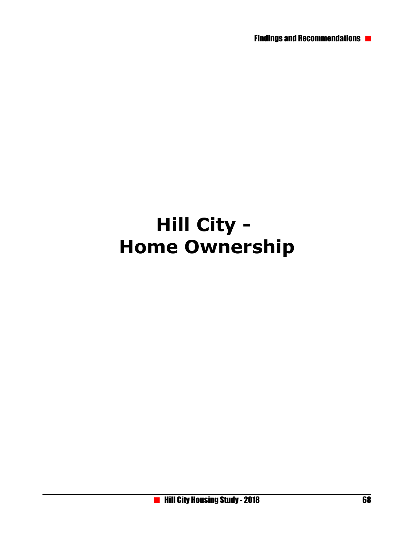# **Hill City - Home Ownership**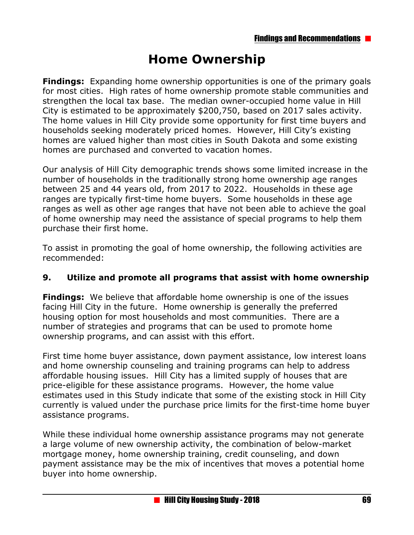# **Home Ownership**

**Findings:** Expanding home ownership opportunities is one of the primary goals for most cities. High rates of home ownership promote stable communities and strengthen the local tax base. The median owner-occupied home value in Hill City is estimated to be approximately \$200,750, based on 2017 sales activity. The home values in Hill City provide some opportunity for first time buyers and households seeking moderately priced homes. However, Hill City's existing homes are valued higher than most cities in South Dakota and some existing homes are purchased and converted to vacation homes.

Our analysis of Hill City demographic trends shows some limited increase in the number of households in the traditionally strong home ownership age ranges between 25 and 44 years old, from 2017 to 2022. Households in these age ranges are typically first-time home buyers. Some households in these age ranges as well as other age ranges that have not been able to achieve the goal of home ownership may need the assistance of special programs to help them purchase their first home.

To assist in promoting the goal of home ownership, the following activities are recommended:

#### **9. Utilize and promote all programs that assist with home ownership**

**Findings:** We believe that affordable home ownership is one of the issues facing Hill City in the future. Home ownership is generally the preferred housing option for most households and most communities. There are a number of strategies and programs that can be used to promote home ownership programs, and can assist with this effort.

First time home buyer assistance, down payment assistance, low interest loans and home ownership counseling and training programs can help to address affordable housing issues. Hill City has a limited supply of houses that are price-eligible for these assistance programs. However, the home value estimates used in this Study indicate that some of the existing stock in Hill City currently is valued under the purchase price limits for the first-time home buyer assistance programs.

While these individual home ownership assistance programs may not generate a large volume of new ownership activity, the combination of below-market mortgage money, home ownership training, credit counseling, and down payment assistance may be the mix of incentives that moves a potential home buyer into home ownership.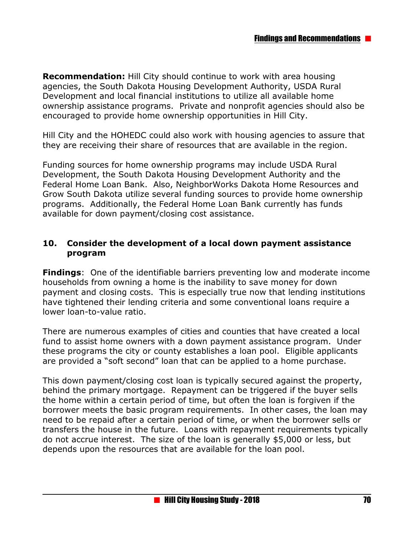**Recommendation:** Hill City should continue to work with area housing agencies, the South Dakota Housing Development Authority, USDA Rural Development and local financial institutions to utilize all available home ownership assistance programs. Private and nonprofit agencies should also be encouraged to provide home ownership opportunities in Hill City.

Hill City and the HOHEDC could also work with housing agencies to assure that they are receiving their share of resources that are available in the region.

Funding sources for home ownership programs may include USDA Rural Development, the South Dakota Housing Development Authority and the Federal Home Loan Bank. Also, NeighborWorks Dakota Home Resources and Grow South Dakota utilize several funding sources to provide home ownership programs. Additionally, the Federal Home Loan Bank currently has funds available for down payment/closing cost assistance.

#### **10. Consider the development of a local down payment assistance program**

**Findings**: One of the identifiable barriers preventing low and moderate income households from owning a home is the inability to save money for down payment and closing costs. This is especially true now that lending institutions have tightened their lending criteria and some conventional loans require a lower loan-to-value ratio.

There are numerous examples of cities and counties that have created a local fund to assist home owners with a down payment assistance program. Under these programs the city or county establishes a loan pool. Eligible applicants are provided a "soft second" loan that can be applied to a home purchase.

This down payment/closing cost loan is typically secured against the property, behind the primary mortgage. Repayment can be triggered if the buyer sells the home within a certain period of time, but often the loan is forgiven if the borrower meets the basic program requirements. In other cases, the loan may need to be repaid after a certain period of time, or when the borrower sells or transfers the house in the future. Loans with repayment requirements typically do not accrue interest. The size of the loan is generally \$5,000 or less, but depends upon the resources that are available for the loan pool.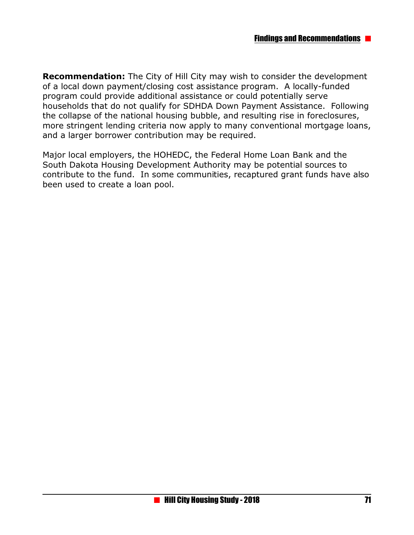**Recommendation:** The City of Hill City may wish to consider the development of a local down payment/closing cost assistance program. A locally-funded program could provide additional assistance or could potentially serve households that do not qualify for SDHDA Down Payment Assistance. Following the collapse of the national housing bubble, and resulting rise in foreclosures, more stringent lending criteria now apply to many conventional mortgage loans, and a larger borrower contribution may be required.

Major local employers, the HOHEDC, the Federal Home Loan Bank and the South Dakota Housing Development Authority may be potential sources to contribute to the fund. In some communities, recaptured grant funds have also been used to create a loan pool.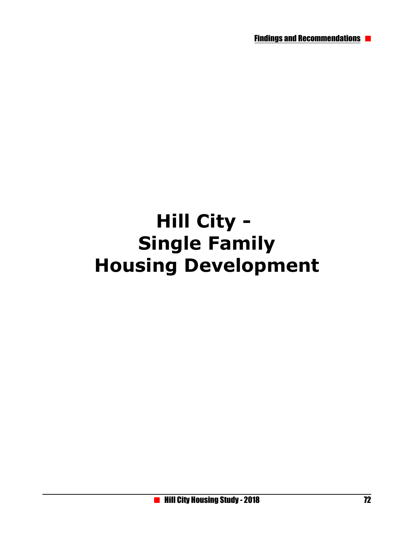# **Hill City - Single Family Housing Development**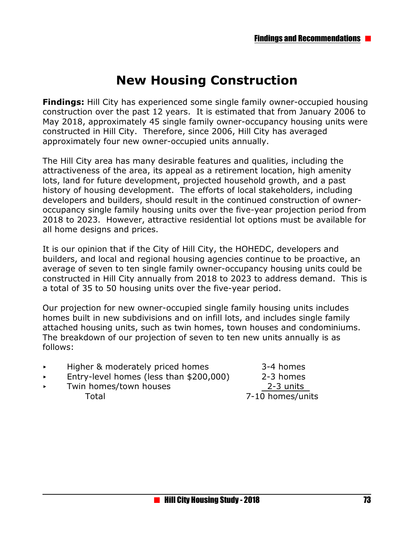# **New Housing Construction**

**Findings:** Hill City has experienced some single family owner-occupied housing construction over the past 12 years. It is estimated that from January 2006 to May 2018, approximately 45 single family owner-occupancy housing units were constructed in Hill City. Therefore, since 2006, Hill City has averaged approximately four new owner-occupied units annually.

The Hill City area has many desirable features and qualities, including the attractiveness of the area, its appeal as a retirement location, high amenity lots, land for future development, projected household growth, and a past history of housing development. The efforts of local stakeholders, including developers and builders, should result in the continued construction of owneroccupancy single family housing units over the five-year projection period from 2018 to 2023. However, attractive residential lot options must be available for all home designs and prices.

It is our opinion that if the City of Hill City, the HOHEDC, developers and builders, and local and regional housing agencies continue to be proactive, an average of seven to ten single family owner-occupancy housing units could be constructed in Hill City annually from 2018 to 2023 to address demand. This is a total of 35 to 50 housing units over the five-year period.

Our projection for new owner-occupied single family housing units includes homes built in new subdivisions and on infill lots, and includes single family attached housing units, such as twin homes, town houses and condominiums. The breakdown of our projection of seven to ten new units annually is as follows:

| $\blacktriangleright$ | Higher & moderately priced homes        | 3-4 homes        |
|-----------------------|-----------------------------------------|------------------|
| $\blacktriangleright$ | Entry-level homes (less than \$200,000) | 2-3 homes        |
| $\blacktriangleright$ | Twin homes/town houses                  | 2-3 units        |
|                       | Total                                   | 7-10 homes/units |
|                       |                                         |                  |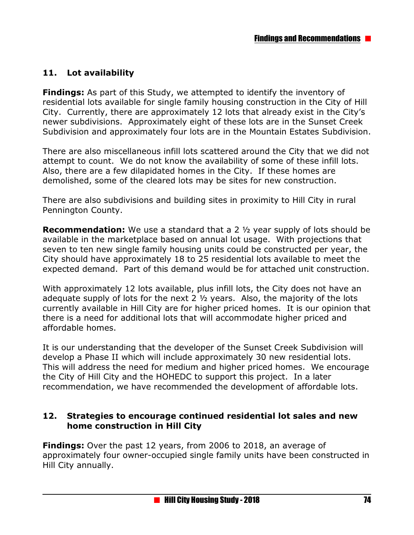# **11. Lot availability**

**Findings:** As part of this Study, we attempted to identify the inventory of residential lots available for single family housing construction in the City of Hill City. Currently, there are approximately 12 lots that already exist in the City's newer subdivisions. Approximately eight of these lots are in the Sunset Creek Subdivision and approximately four lots are in the Mountain Estates Subdivision.

There are also miscellaneous infill lots scattered around the City that we did not attempt to count. We do not know the availability of some of these infill lots. Also, there are a few dilapidated homes in the City. If these homes are demolished, some of the cleared lots may be sites for new construction.

There are also subdivisions and building sites in proximity to Hill City in rural Pennington County.

**Recommendation:** We use a standard that a 2 ½ year supply of lots should be available in the marketplace based on annual lot usage. With projections that seven to ten new single family housing units could be constructed per year, the City should have approximately 18 to 25 residential lots available to meet the expected demand. Part of this demand would be for attached unit construction.

With approximately 12 lots available, plus infill lots, the City does not have an adequate supply of lots for the next 2 ½ years. Also, the majority of the lots currently available in Hill City are for higher priced homes. It is our opinion that there is a need for additional lots that will accommodate higher priced and affordable homes.

It is our understanding that the developer of the Sunset Creek Subdivision will develop a Phase II which will include approximately 30 new residential lots. This will address the need for medium and higher priced homes. We encourage the City of Hill City and the HOHEDC to support this project. In a later recommendation, we have recommended the development of affordable lots.

#### **12. Strategies to encourage continued residential lot sales and new home construction in Hill City**

**Findings:** Over the past 12 years, from 2006 to 2018, an average of approximately four owner-occupied single family units have been constructed in Hill City annually.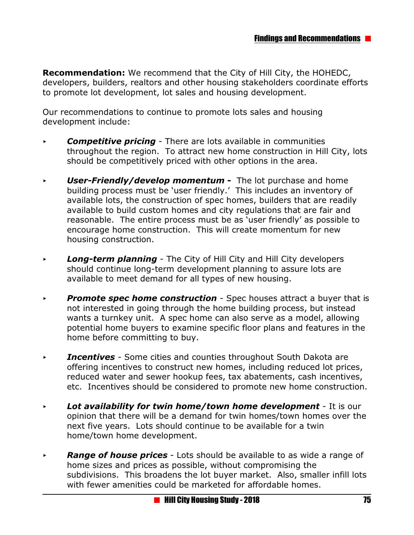**Recommendation:** We recommend that the City of Hill City, the HOHEDC, developers, builders, realtors and other housing stakeholders coordinate efforts to promote lot development, lot sales and housing development.

Our recommendations to continue to promote lots sales and housing development include:

- **Competitive pricing** There are lots available in communities throughout the region. To attract new home construction in Hill City, lots should be competitively priced with other options in the area.
- **User-Friendly/develop momentum -** The lot purchase and home building process must be 'user friendly.' This includes an inventory of available lots, the construction of spec homes, builders that are readily available to build custom homes and city regulations that are fair and reasonable. The entire process must be as 'user friendly' as possible to encourage home construction. This will create momentum for new housing construction.
- **Long-term planning** The City of Hill City and Hill City developers should continue long-term development planning to assure lots are available to meet demand for all types of new housing.
- **Promote spec home construction** Spec houses attract a buyer that is not interested in going through the home building process, but instead wants a turnkey unit. A spec home can also serve as a model, allowing potential home buyers to examine specific floor plans and features in the home before committing to buy.
- *Incentives* Some cities and counties throughout South Dakota are offering incentives to construct new homes, including reduced lot prices, reduced water and sewer hookup fees, tax abatements, cash incentives, etc. Incentives should be considered to promote new home construction.
- **Example 2 Lot availability for twin home/town home development** It is our opinion that there will be a demand for twin homes/town homes over the next five years. Lots should continue to be available for a twin home/town home development.
- **Range of house prices** Lots should be available to as wide a range of home sizes and prices as possible, without compromising the subdivisions. This broadens the lot buyer market. Also, smaller infill lots with fewer amenities could be marketed for affordable homes.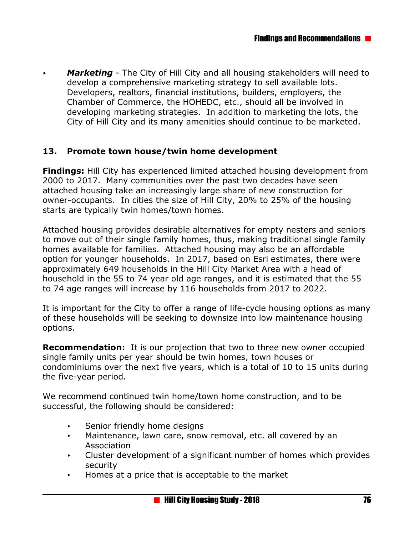**Marketing** - The City of Hill City and all housing stakeholders will need to develop a comprehensive marketing strategy to sell available lots. Developers, realtors, financial institutions, builders, employers, the Chamber of Commerce, the HOHEDC, etc., should all be involved in developing marketing strategies. In addition to marketing the lots, the City of Hill City and its many amenities should continue to be marketed.

#### **13. Promote town house/twin home development**

**Findings:** Hill City has experienced limited attached housing development from 2000 to 2017. Many communities over the past two decades have seen attached housing take an increasingly large share of new construction for owner-occupants. In cities the size of Hill City, 20% to 25% of the housing starts are typically twin homes/town homes.

Attached housing provides desirable alternatives for empty nesters and seniors to move out of their single family homes, thus, making traditional single family homes available for families. Attached housing may also be an affordable option for younger households. In 2017, based on Esri estimates, there were approximately 649 households in the Hill City Market Area with a head of household in the 55 to 74 year old age ranges, and it is estimated that the 55 to 74 age ranges will increase by 116 households from 2017 to 2022.

It is important for the City to offer a range of life-cycle housing options as many of these households will be seeking to downsize into low maintenance housing options.

**Recommendation:** It is our projection that two to three new owner occupied single family units per year should be twin homes, town houses or condominiums over the next five years, which is a total of 10 to 15 units during the five-year period.

We recommend continued twin home/town home construction, and to be successful, the following should be considered:

- $\triangleright$  Senior friendly home designs
- $\triangleright$  Maintenance, lawn care, snow removal, etc. all covered by an Association
- $\triangleright$  Cluster development of a significant number of homes which provides security
- $\blacktriangleright$  Homes at a price that is acceptable to the market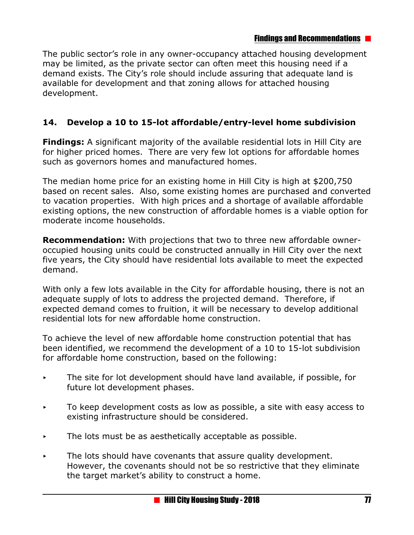#### Findings and Recommendations

The public sector's role in any owner-occupancy attached housing development may be limited, as the private sector can often meet this housing need if a demand exists. The City's role should include assuring that adequate land is available for development and that zoning allows for attached housing development.

# **14. Develop a 10 to 15-lot affordable/entry-level home subdivision**

**Findings:** A significant majority of the available residential lots in Hill City are for higher priced homes. There are very few lot options for affordable homes such as governors homes and manufactured homes.

The median home price for an existing home in Hill City is high at \$200,750 based on recent sales. Also, some existing homes are purchased and converted to vacation properties. With high prices and a shortage of available affordable existing options, the new construction of affordable homes is a viable option for moderate income households.

**Recommendation:** With projections that two to three new affordable owneroccupied housing units could be constructed annually in Hill City over the next five years, the City should have residential lots available to meet the expected demand.

With only a few lots available in the City for affordable housing, there is not an adequate supply of lots to address the projected demand. Therefore, if expected demand comes to fruition, it will be necessary to develop additional residential lots for new affordable home construction.

To achieve the level of new affordable home construction potential that has been identified, we recommend the development of a 10 to 15-lot subdivision for affordable home construction, based on the following:

- $\triangleright$  The site for lot development should have land available, if possible, for future lot development phases.
- $\triangleright$  To keep development costs as low as possible, a site with easy access to existing infrastructure should be considered.
- $\triangleright$  The lots must be as aesthetically acceptable as possible.
- $\triangleright$  The lots should have covenants that assure quality development. However, the covenants should not be so restrictive that they eliminate the target market's ability to construct a home.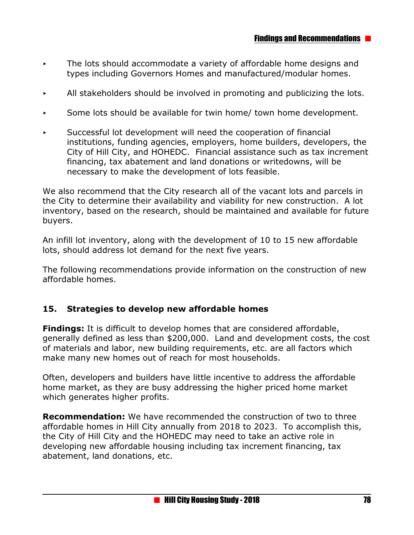- $\triangleright$  The lots should accommodate a variety of affordable home designs and types including Governors Homes and manufactured/modular homes.
- $\blacktriangleright$  All stakeholders should be involved in promoting and publicizing the lots.
- $\triangleright$  Some lots should be available for twin home/ town home development.
- $\triangleright$  Successful lot development will need the cooperation of financial institutions, funding agencies, employers, home builders, developers, the City of Hill City, and HOHEDC. Financial assistance such as tax increment financing, tax abatement and land donations or writedowns, will be necessary to make the development of lots feasible.

We also recommend that the City research all of the vacant lots and parcels in the City to determine their availability and viability for new construction. A lot inventory, based on the research, should be maintained and available for future buyers.

An infill lot inventory, along with the development of 10 to 15 new affordable lots, should address lot demand for the next five years.

The following recommendations provide information on the construction of new affordable homes.

#### **15. Strategies to develop new affordable homes**

**Findings:** It is difficult to develop homes that are considered affordable, generally defined as less than \$200,000. Land and development costs, the cost of materials and labor, new building requirements, etc. are all factors which make many new homes out of reach for most households.

Often, developers and builders have little incentive to address the affordable home market, as they are busy addressing the higher priced home market which generates higher profits.

**Recommendation:** We have recommended the construction of two to three affordable homes in Hill City annually from 2018 to 2023. To accomplish this, the City of Hill City and the HOHEDC may need to take an active role in developing new affordable housing including tax increment financing, tax abatement, land donations, etc.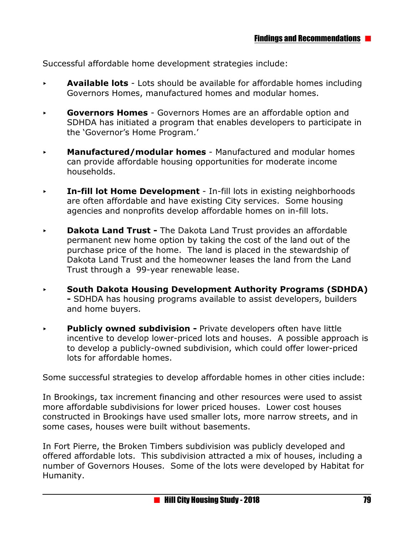Successful affordable home development strategies include:

- < **Available lots**  Lots should be available for affordable homes including Governors Homes, manufactured homes and modular homes.
- < **Governors Homes** Governors Homes are an affordable option and SDHDA has initiated a program that enables developers to participate in the 'Governor's Home Program.'
- < **Manufactured/modular homes**  Manufactured and modular homes can provide affordable housing opportunities for moderate income households.
- **Fig. 4 In-fill lot Home Development** In-fill lots in existing neighborhoods are often affordable and have existing City services. Some housing agencies and nonprofits develop affordable homes on in-fill lots.
- **Dakota Land Trust -** The Dakota Land Trust provides an affordable permanent new home option by taking the cost of the land out of the purchase price of the home. The land is placed in the stewardship of Dakota Land Trust and the homeowner leases the land from the Land Trust through a 99-year renewable lease.
- < **South Dakota Housing Development Authority Programs (SDHDA) -** SDHDA has housing programs available to assist developers, builders and home buyers.
- **Publicly owned subdivision -** Private developers often have little incentive to develop lower-priced lots and houses. A possible approach is to develop a publicly-owned subdivision, which could offer lower-priced lots for affordable homes.

Some successful strategies to develop affordable homes in other cities include:

In Brookings, tax increment financing and other resources were used to assist more affordable subdivisions for lower priced houses. Lower cost houses constructed in Brookings have used smaller lots, more narrow streets, and in some cases, houses were built without basements.

In Fort Pierre, the Broken Timbers subdivision was publicly developed and offered affordable lots. This subdivision attracted a mix of houses, including a number of Governors Houses. Some of the lots were developed by Habitat for Humanity.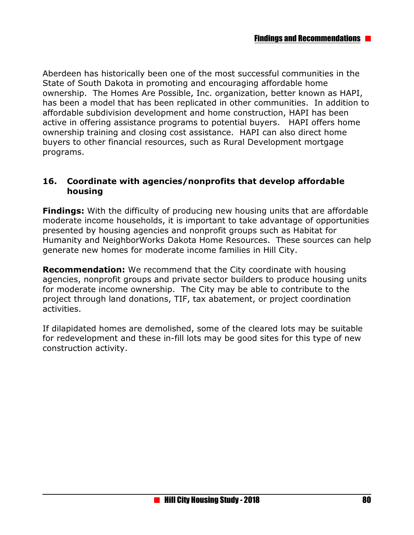Aberdeen has historically been one of the most successful communities in the State of South Dakota in promoting and encouraging affordable home ownership. The Homes Are Possible, Inc. organization, better known as HAPI, has been a model that has been replicated in other communities. In addition to affordable subdivision development and home construction, HAPI has been active in offering assistance programs to potential buyers. HAPI offers home ownership training and closing cost assistance. HAPI can also direct home buyers to other financial resources, such as Rural Development mortgage programs.

#### **16. Coordinate with agencies/nonprofits that develop affordable housing**

**Findings:** With the difficulty of producing new housing units that are affordable moderate income households, it is important to take advantage of opportunities presented by housing agencies and nonprofit groups such as Habitat for Humanity and NeighborWorks Dakota Home Resources. These sources can help generate new homes for moderate income families in Hill City.

**Recommendation:** We recommend that the City coordinate with housing agencies, nonprofit groups and private sector builders to produce housing units for moderate income ownership. The City may be able to contribute to the project through land donations, TIF, tax abatement, or project coordination activities.

If dilapidated homes are demolished, some of the cleared lots may be suitable for redevelopment and these in-fill lots may be good sites for this type of new construction activity.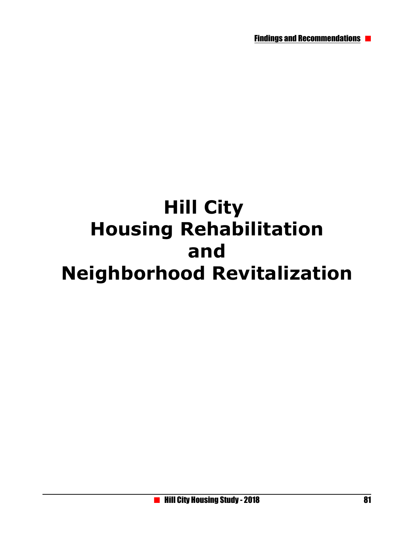Findings and Recommendations

# **Hill City Housing Rehabilitation and Neighborhood Revitalization**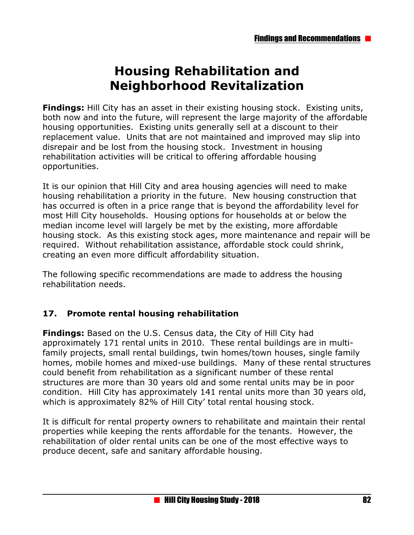# **Housing Rehabilitation and Neighborhood Revitalization**

**Findings:** Hill City has an asset in their existing housing stock. Existing units, both now and into the future, will represent the large majority of the affordable housing opportunities. Existing units generally sell at a discount to their replacement value. Units that are not maintained and improved may slip into disrepair and be lost from the housing stock. Investment in housing rehabilitation activities will be critical to offering affordable housing opportunities.

It is our opinion that Hill City and area housing agencies will need to make housing rehabilitation a priority in the future. New housing construction that has occurred is often in a price range that is beyond the affordability level for most Hill City households. Housing options for households at or below the median income level will largely be met by the existing, more affordable housing stock. As this existing stock ages, more maintenance and repair will be required. Without rehabilitation assistance, affordable stock could shrink, creating an even more difficult affordability situation.

The following specific recommendations are made to address the housing rehabilitation needs.

## **17. Promote rental housing rehabilitation**

**Findings:** Based on the U.S. Census data, the City of Hill City had approximately 171 rental units in 2010. These rental buildings are in multifamily projects, small rental buildings, twin homes/town houses, single family homes, mobile homes and mixed-use buildings. Many of these rental structures could benefit from rehabilitation as a significant number of these rental structures are more than 30 years old and some rental units may be in poor condition. Hill City has approximately 141 rental units more than 30 years old, which is approximately 82% of Hill City' total rental housing stock.

It is difficult for rental property owners to rehabilitate and maintain their rental properties while keeping the rents affordable for the tenants. However, the rehabilitation of older rental units can be one of the most effective ways to produce decent, safe and sanitary affordable housing.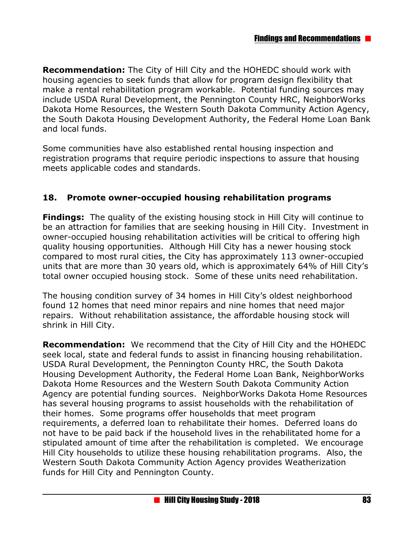**Recommendation:** The City of Hill City and the HOHEDC should work with housing agencies to seek funds that allow for program design flexibility that make a rental rehabilitation program workable. Potential funding sources may include USDA Rural Development, the Pennington County HRC, NeighborWorks Dakota Home Resources, the Western South Dakota Community Action Agency, the South Dakota Housing Development Authority, the Federal Home Loan Bank and local funds.

Some communities have also established rental housing inspection and registration programs that require periodic inspections to assure that housing meets applicable codes and standards.

#### **18. Promote owner-occupied housing rehabilitation programs**

**Findings:** The quality of the existing housing stock in Hill City will continue to be an attraction for families that are seeking housing in Hill City. Investment in owner-occupied housing rehabilitation activities will be critical to offering high quality housing opportunities. Although Hill City has a newer housing stock compared to most rural cities, the City has approximately 113 owner-occupied units that are more than 30 years old, which is approximately 64% of Hill City's total owner occupied housing stock. Some of these units need rehabilitation.

The housing condition survey of 34 homes in Hill City's oldest neighborhood found 12 homes that need minor repairs and nine homes that need major repairs. Without rehabilitation assistance, the affordable housing stock will shrink in Hill City.

**Recommendation:** We recommend that the City of Hill City and the HOHEDC seek local, state and federal funds to assist in financing housing rehabilitation. USDA Rural Development, the Pennington County HRC, the South Dakota Housing Development Authority, the Federal Home Loan Bank, NeighborWorks Dakota Home Resources and the Western South Dakota Community Action Agency are potential funding sources. NeighborWorks Dakota Home Resources has several housing programs to assist households with the rehabilitation of their homes. Some programs offer households that meet program requirements, a deferred loan to rehabilitate their homes. Deferred loans do not have to be paid back if the household lives in the rehabilitated home for a stipulated amount of time after the rehabilitation is completed. We encourage Hill City households to utilize these housing rehabilitation programs. Also, the Western South Dakota Community Action Agency provides Weatherization funds for Hill City and Pennington County.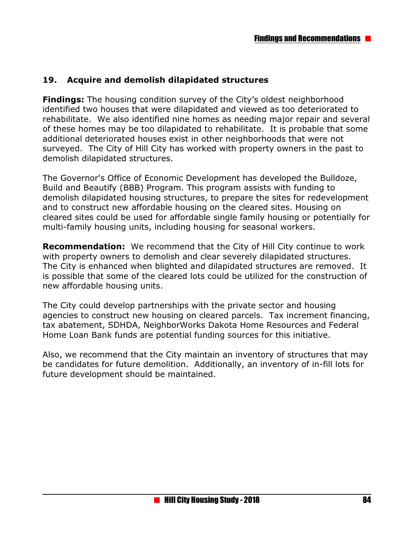### **19. Acquire and demolish dilapidated structures**

**Findings:** The housing condition survey of the City's oldest neighborhood identified two houses that were dilapidated and viewed as too deteriorated to rehabilitate. We also identified nine homes as needing major repair and several of these homes may be too dilapidated to rehabilitate. It is probable that some additional deteriorated houses exist in other neighborhoods that were not surveyed. The City of Hill City has worked with property owners in the past to demolish dilapidated structures.

The Governor's Office of Economic Development has developed the Bulldoze, Build and Beautify (BBB) Program. This program assists with funding to demolish dilapidated housing structures, to prepare the sites for redevelopment and to construct new affordable housing on the cleared sites. Housing on cleared sites could be used for affordable single family housing or potentially for multi-family housing units, including housing for seasonal workers.

**Recommendation:** We recommend that the City of Hill City continue to work with property owners to demolish and clear severely dilapidated structures. The City is enhanced when blighted and dilapidated structures are removed. It is possible that some of the cleared lots could be utilized for the construction of new affordable housing units.

The City could develop partnerships with the private sector and housing agencies to construct new housing on cleared parcels. Tax increment financing, tax abatement, SDHDA, NeighborWorks Dakota Home Resources and Federal Home Loan Bank funds are potential funding sources for this initiative.

Also, we recommend that the City maintain an inventory of structures that may be candidates for future demolition. Additionally, an inventory of in-fill lots for future development should be maintained.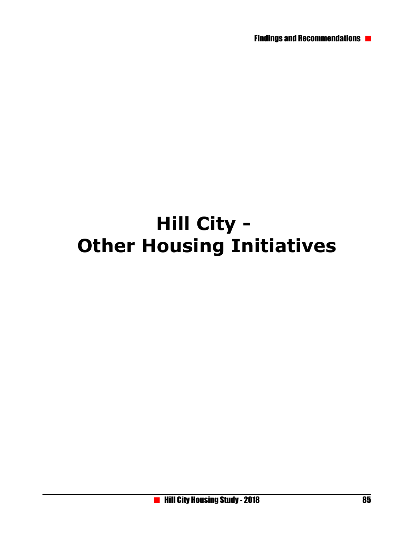# **Hill City - Other Housing Initiatives**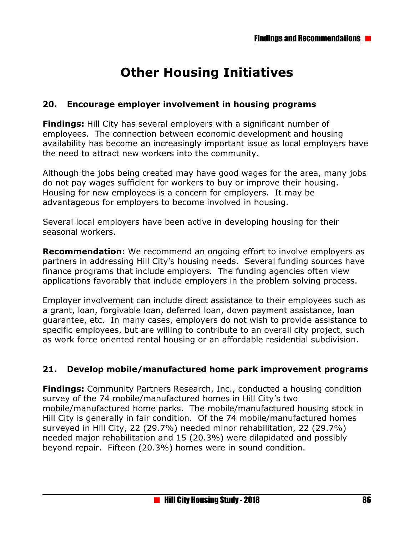# **Other Housing Initiatives**

### **20. Encourage employer involvement in housing programs**

**Findings:** Hill City has several employers with a significant number of employees. The connection between economic development and housing availability has become an increasingly important issue as local employers have the need to attract new workers into the community.

Although the jobs being created may have good wages for the area, many jobs do not pay wages sufficient for workers to buy or improve their housing. Housing for new employees is a concern for employers. It may be advantageous for employers to become involved in housing.

Several local employers have been active in developing housing for their seasonal workers.

**Recommendation:** We recommend an ongoing effort to involve employers as partners in addressing Hill City's housing needs. Several funding sources have finance programs that include employers. The funding agencies often view applications favorably that include employers in the problem solving process.

Employer involvement can include direct assistance to their employees such as a grant, loan, forgivable loan, deferred loan, down payment assistance, loan guarantee, etc. In many cases, employers do not wish to provide assistance to specific employees, but are willing to contribute to an overall city project, such as work force oriented rental housing or an affordable residential subdivision.

## **21. Develop mobile/manufactured home park improvement programs**

**Findings:** Community Partners Research, Inc., conducted a housing condition survey of the 74 mobile/manufactured homes in Hill City's two mobile/manufactured home parks. The mobile/manufactured housing stock in Hill City is generally in fair condition. Of the 74 mobile/manufactured homes surveyed in Hill City, 22 (29.7%) needed minor rehabilitation, 22 (29.7%) needed major rehabilitation and 15 (20.3%) were dilapidated and possibly beyond repair. Fifteen (20.3%) homes were in sound condition.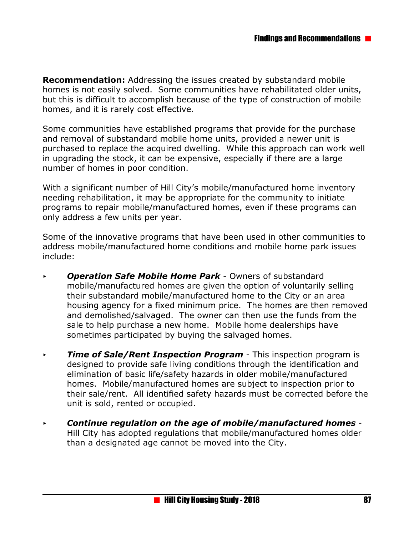**Recommendation:** Addressing the issues created by substandard mobile homes is not easily solved. Some communities have rehabilitated older units, but this is difficult to accomplish because of the type of construction of mobile homes, and it is rarely cost effective.

Some communities have established programs that provide for the purchase and removal of substandard mobile home units, provided a newer unit is purchased to replace the acquired dwelling. While this approach can work well in upgrading the stock, it can be expensive, especially if there are a large number of homes in poor condition.

With a significant number of Hill City's mobile/manufactured home inventory needing rehabilitation, it may be appropriate for the community to initiate programs to repair mobile/manufactured homes, even if these programs can only address a few units per year.

Some of the innovative programs that have been used in other communities to address mobile/manufactured home conditions and mobile home park issues include:

- < *Operation Safe Mobile Home Park*  Owners of substandard mobile/manufactured homes are given the option of voluntarily selling their substandard mobile/manufactured home to the City or an area housing agency for a fixed minimum price. The homes are then removed and demolished/salvaged. The owner can then use the funds from the sale to help purchase a new home. Mobile home dealerships have sometimes participated by buying the salvaged homes.
- *Fime of Sale/Rent Inspection Program This inspection program is* designed to provide safe living conditions through the identification and elimination of basic life/safety hazards in older mobile/manufactured homes. Mobile/manufactured homes are subject to inspection prior to their sale/rent. All identified safety hazards must be corrected before the unit is sold, rented or occupied.
- < *Continue regulation on the age of mobile/manufactured homes*  Hill City has adopted regulations that mobile/manufactured homes older than a designated age cannot be moved into the City.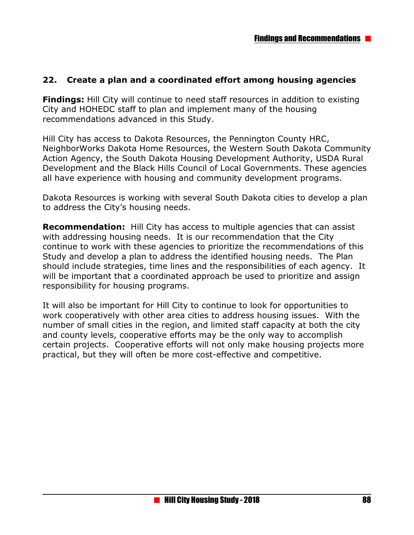### **22. Create a plan and a coordinated effort among housing agencies**

**Findings:** Hill City will continue to need staff resources in addition to existing City and HOHEDC staff to plan and implement many of the housing recommendations advanced in this Study.

Hill City has access to Dakota Resources, the Pennington County HRC, NeighborWorks Dakota Home Resources, the Western South Dakota Community Action Agency, the South Dakota Housing Development Authority, USDA Rural Development and the Black Hills Council of Local Governments. These agencies all have experience with housing and community development programs.

Dakota Resources is working with several South Dakota cities to develop a plan to address the City's housing needs.

**Recommendation:** Hill City has access to multiple agencies that can assist with addressing housing needs. It is our recommendation that the City continue to work with these agencies to prioritize the recommendations of this Study and develop a plan to address the identified housing needs. The Plan should include strategies, time lines and the responsibilities of each agency. It will be important that a coordinated approach be used to prioritize and assign responsibility for housing programs.

It will also be important for Hill City to continue to look for opportunities to work cooperatively with other area cities to address housing issues. With the number of small cities in the region, and limited staff capacity at both the city and county levels, cooperative efforts may be the only way to accomplish certain projects. Cooperative efforts will not only make housing projects more practical, but they will often be more cost-effective and competitive.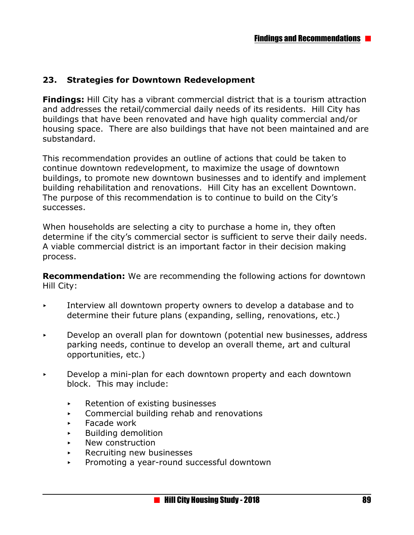### **23. Strategies for Downtown Redevelopment**

**Findings:** Hill City has a vibrant commercial district that is a tourism attraction and addresses the retail/commercial daily needs of its residents. Hill City has buildings that have been renovated and have high quality commercial and/or housing space. There are also buildings that have not been maintained and are substandard.

This recommendation provides an outline of actions that could be taken to continue downtown redevelopment, to maximize the usage of downtown buildings, to promote new downtown businesses and to identify and implement building rehabilitation and renovations. Hill City has an excellent Downtown. The purpose of this recommendation is to continue to build on the City's successes.

When households are selecting a city to purchase a home in, they often determine if the city's commercial sector is sufficient to serve their daily needs. A viable commercial district is an important factor in their decision making process.

**Recommendation:** We are recommending the following actions for downtown Hill City:

- Interview all downtown property owners to develop a database and to determine their future plans (expanding, selling, renovations, etc.)
- $\triangleright$  Develop an overall plan for downtown (potential new businesses, address parking needs, continue to develop an overall theme, art and cultural opportunities, etc.)
- < Develop a mini-plan for each downtown property and each downtown block. This may include:
	- $\triangleright$  Retention of existing businesses
	- < Commercial building rehab and renovations
	- < Facade work
	- < Building demolition
	- New construction
	- < Recruiting new businesses
	- < Promoting a year-round successful downtown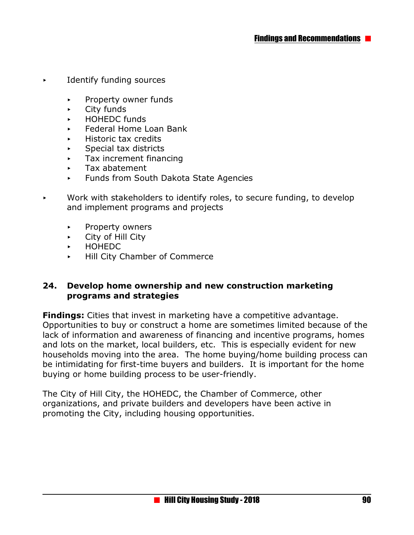- **EXECUTE:** Identify funding sources
	- < Property owner funds
	- $\overline{\phantom{a}}$  City funds
	- < HOHEDC funds
	- < Federal Home Loan Bank
	- < Historic tax credits
	- < Special tax districts
	- < Tax increment financing
	- $\blacktriangleright$  Tax abatement
	- < Funds from South Dakota State Agencies
- $\triangleright$  Work with stakeholders to identify roles, to secure funding, to develop and implement programs and projects
	- **EXAMPLE PROPERTY OWNERS**
	- < City of Hill City
	- < HOHEDC
	- < Hill City Chamber of Commerce

#### **24. Develop home ownership and new construction marketing programs and strategies**

**Findings:** Cities that invest in marketing have a competitive advantage. Opportunities to buy or construct a home are sometimes limited because of the lack of information and awareness of financing and incentive programs, homes and lots on the market, local builders, etc. This is especially evident for new households moving into the area. The home buying/home building process can be intimidating for first-time buyers and builders. It is important for the home buying or home building process to be user-friendly.

The City of Hill City, the HOHEDC, the Chamber of Commerce, other organizations, and private builders and developers have been active in promoting the City, including housing opportunities.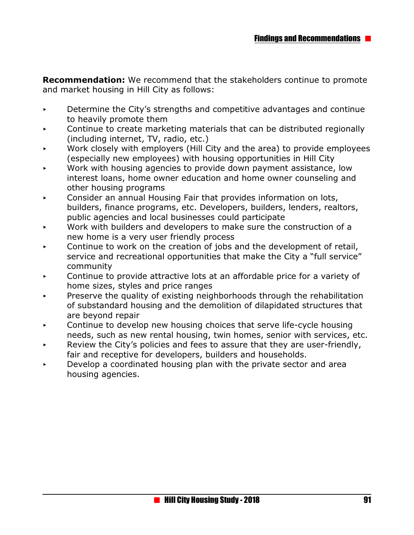**Recommendation:** We recommend that the stakeholders continue to promote and market housing in Hill City as follows:

- $\triangleright$  Determine the City's strengths and competitive advantages and continue to heavily promote them
- $\triangleright$  Continue to create marketing materials that can be distributed regionally (including internet, TV, radio, etc.)
- Work closely with employers (Hill City and the area) to provide employees (especially new employees) with housing opportunities in Hill City
- Work with housing agencies to provide down payment assistance, low interest loans, home owner education and home owner counseling and other housing programs
- Consider an annual Housing Fair that provides information on lots, builders, finance programs, etc. Developers, builders, lenders, realtors, public agencies and local businesses could participate
- Work with builders and developers to make sure the construction of a new home is a very user friendly process
- < Continue to work on the creation of jobs and the development of retail, service and recreational opportunities that make the City a "full service" community
- Continue to provide attractive lots at an affordable price for a variety of home sizes, styles and price ranges
- Preserve the quality of existing neighborhoods through the rehabilitation of substandard housing and the demolition of dilapidated structures that are beyond repair
- $\triangleright$  Continue to develop new housing choices that serve life-cycle housing needs, such as new rental housing, twin homes, senior with services, etc.
- Review the City's policies and fees to assure that they are user-friendly, fair and receptive for developers, builders and households.
- < Develop a coordinated housing plan with the private sector and area housing agencies.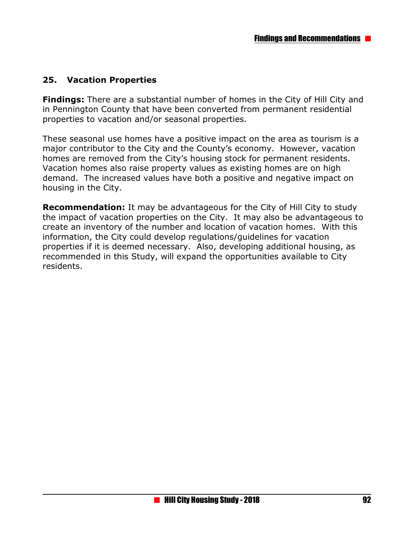## **25. Vacation Properties**

**Findings:** There are a substantial number of homes in the City of Hill City and in Pennington County that have been converted from permanent residential properties to vacation and/or seasonal properties.

These seasonal use homes have a positive impact on the area as tourism is a major contributor to the City and the County's economy. However, vacation homes are removed from the City's housing stock for permanent residents. Vacation homes also raise property values as existing homes are on high demand. The increased values have both a positive and negative impact on housing in the City.

**Recommendation:** It may be advantageous for the City of Hill City to study the impact of vacation properties on the City. It may also be advantageous to create an inventory of the number and location of vacation homes. With this information, the City could develop regulations/guidelines for vacation properties if it is deemed necessary. Also, developing additional housing, as recommended in this Study, will expand the opportunities available to City residents.